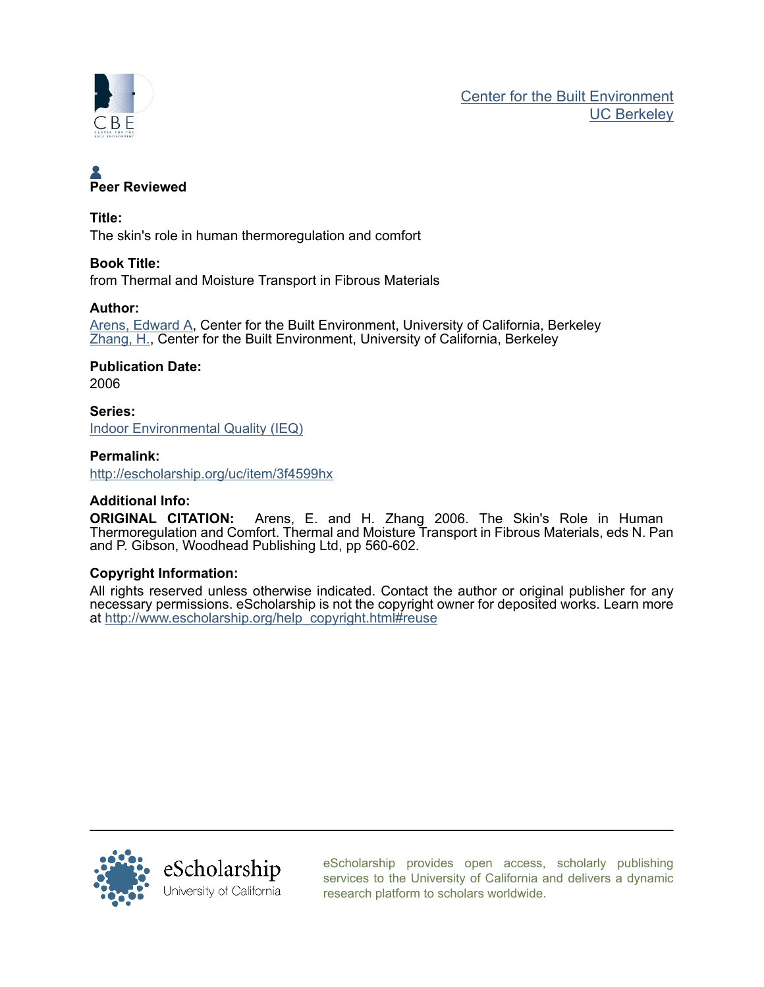

[Center for the Built Environment](http://escholarship.org/uc/cedr_cbe_ieq) [UC Berkeley](http://escholarship.org/uc/ucb)

## **Peer Reviewed**

**Title:**

The skin's role in human thermoregulation and comfort

## **Book Title:**

from Thermal and Moisture Transport in Fibrous Materials

## **Author:**

[Arens, Edward A](http://escholarship.org/uc/search?creator=Arens%2C%20Edward%20A), Center for the Built Environment, University of California, Berkeley [Zhang, H.](http://escholarship.org/uc/search?creator=Zhang%2C%20H.), Center for the Built Environment, University of California, Berkeley

## **Publication Date:**

2006

**Series:** [Indoor Environmental Quality \(IEQ\)](http://escholarship.org/uc/cedr_cbe_ieq)

## **Permalink:**

<http://escholarship.org/uc/item/3f4599hx>

## **Additional Info:**

**ORIGINAL CITATION:** Arens, E. and H. Zhang 2006. The Skin's Role in Human Thermoregulation and Comfort. Thermal and Moisture Transport in Fibrous Materials, eds N. Pan and P. Gibson, Woodhead Publishing Ltd, pp 560-602.

## **Copyright Information:**

All rights reserved unless otherwise indicated. Contact the author or original publisher for any necessary permissions. eScholarship is not the copyright owner for deposited works. Learn more at [http://www.escholarship.org/help\\_copyright.html#reuse](http://www.escholarship.org/help_copyright.html#reuse)



[eScholarship provides open access, scholarly publishing](http://escholarship.org) [services to the University of California and delivers a dynamic](http://escholarship.org) [research platform to scholars worldwide.](http://escholarship.org)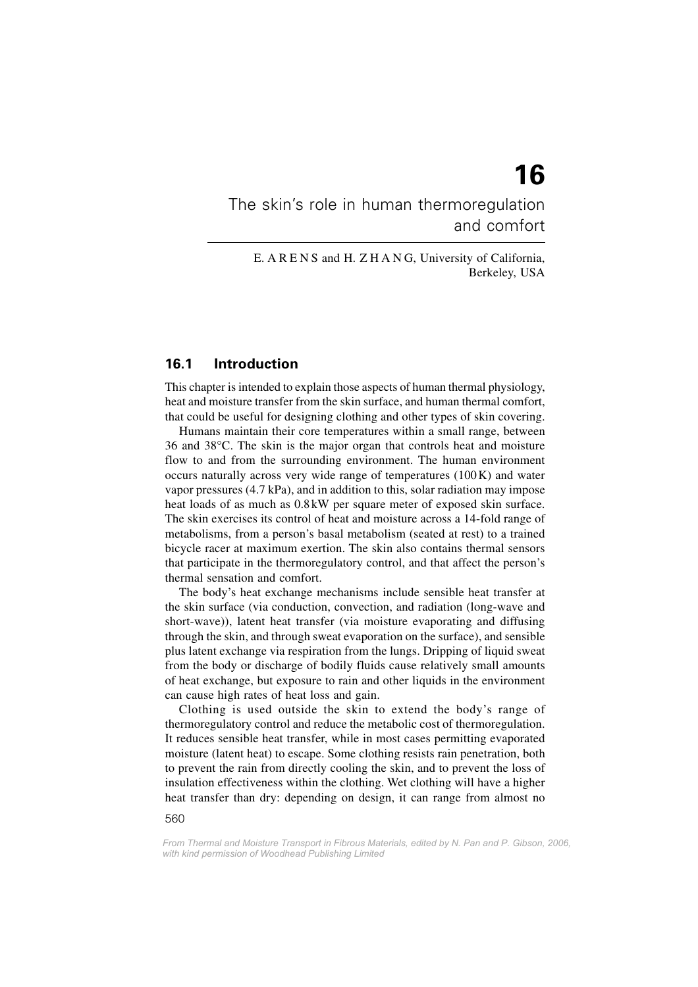**16** The skin's role in human thermoregulation and comfort

E. A R E N S and H. Z H A N G, University of California, Berkeley, USA

## **16.1 Introduction**

This chapter is intended to explain those aspects of human thermal physiology, heat and moisture transfer from the skin surface, and human thermal comfort, that could be useful for designing clothing and other types of skin covering.

Humans maintain their core temperatures within a small range, between 36 and 38°C. The skin is the major organ that controls heat and moisture flow to and from the surrounding environment. The human environment occurs naturally across very wide range of temperatures (100 K) and water vapor pressures (4.7 kPa), and in addition to this, solar radiation may impose heat loads of as much as 0.8 kW per square meter of exposed skin surface. The skin exercises its control of heat and moisture across a 14-fold range of metabolisms, from a person's basal metabolism (seated at rest) to a trained bicycle racer at maximum exertion. The skin also contains thermal sensors that participate in the thermoregulatory control, and that affect the person's thermal sensation and comfort.

The body's heat exchange mechanisms include sensible heat transfer at the skin surface (via conduction, convection, and radiation (long-wave and short-wave)), latent heat transfer (via moisture evaporating and diffusing through the skin, and through sweat evaporation on the surface), and sensible plus latent exchange via respiration from the lungs. Dripping of liquid sweat from the body or discharge of bodily fluids cause relatively small amounts of heat exchange, but exposure to rain and other liquids in the environment can cause high rates of heat loss and gain.

Clothing is used outside the skin to extend the body's range of thermoregulatory control and reduce the metabolic cost of thermoregulation. It reduces sensible heat transfer, while in most cases permitting evaporated moisture (latent heat) to escape. Some clothing resists rain penetration, both to prevent the rain from directly cooling the skin, and to prevent the loss of insulation effectiveness within the clothing. Wet clothing will have a higher heat transfer than dry: depending on design, it can range from almost no

560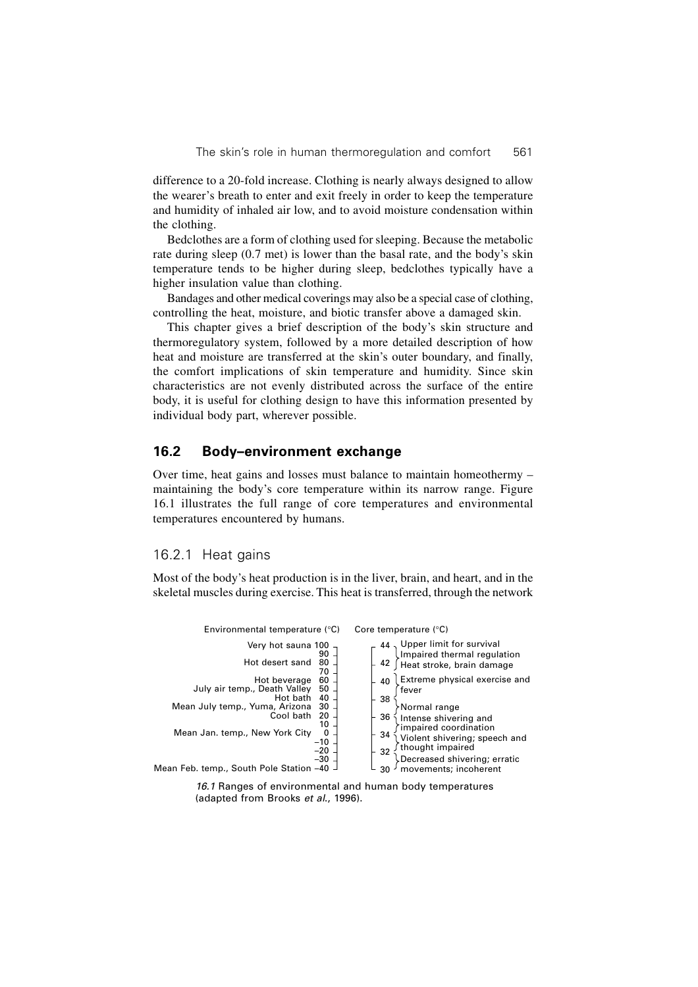difference to a 20-fold increase. Clothing is nearly always designed to allow the wearer's breath to enter and exit freely in order to keep the temperature and humidity of inhaled air low, and to avoid moisture condensation within the clothing.

Bedclothes are a form of clothing used for sleeping. Because the metabolic rate during sleep (0.7 met) is lower than the basal rate, and the body's skin temperature tends to be higher during sleep, bedclothes typically have a higher insulation value than clothing.

Bandages and other medical coverings may also be a special case of clothing, controlling the heat, moisture, and biotic transfer above a damaged skin.

This chapter gives a brief description of the body's skin structure and thermoregulatory system, followed by a more detailed description of how heat and moisture are transferred at the skin's outer boundary, and finally, the comfort implications of skin temperature and humidity. Since skin characteristics are not evenly distributed across the surface of the entire body, it is useful for clothing design to have this information presented by individual body part, wherever possible.

## **16.2 Body–environment exchange**

Over time, heat gains and losses must balance to maintain homeothermy – maintaining the body's core temperature within its narrow range. Figure 16.1 illustrates the full range of core temperatures and environmental temperatures encountered by humans.

## 16.2.1 Heat gains

Most of the body's heat production is in the liver, brain, and heart, and in the skeletal muscles during exercise. This heat is transferred, through the network



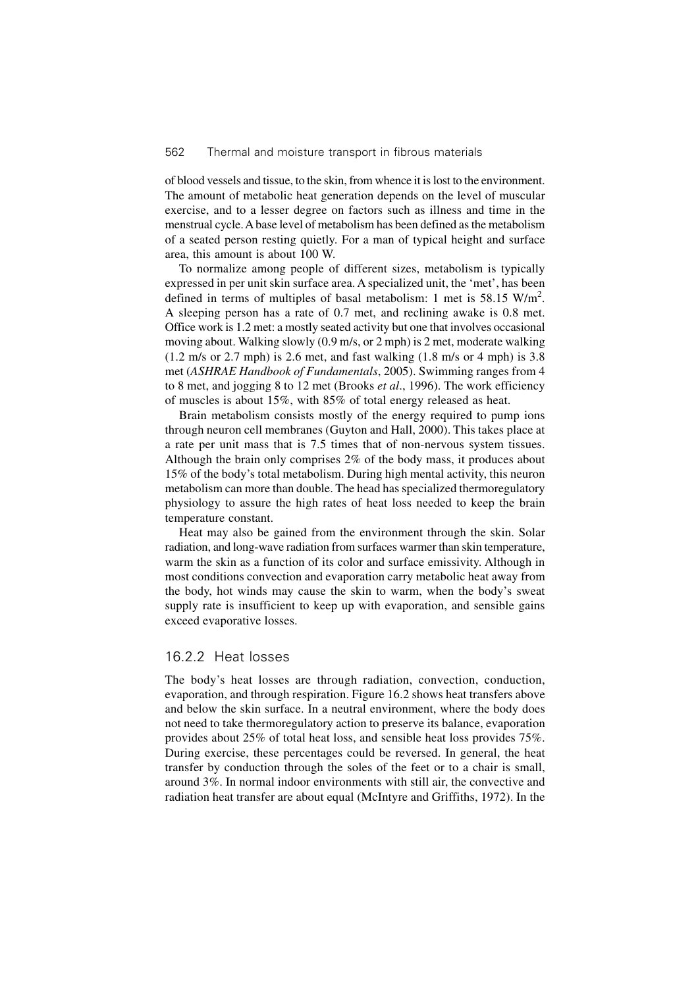of blood vessels and tissue, to the skin, from whence it is lost to the environment. The amount of metabolic heat generation depends on the level of muscular exercise, and to a lesser degree on factors such as illness and time in the menstrual cycle. A base level of metabolism has been defined as the metabolism of a seated person resting quietly. For a man of typical height and surface area, this amount is about 100 W.

To normalize among people of different sizes, metabolism is typically expressed in per unit skin surface area. A specialized unit, the 'met', has been defined in terms of multiples of basal metabolism: 1 met is 58.15  $W/m<sup>2</sup>$ . A sleeping person has a rate of 0.7 met, and reclining awake is 0.8 met. Office work is 1.2 met: a mostly seated activity but one that involves occasional moving about. Walking slowly (0.9 m/s, or 2 mph) is 2 met, moderate walking  $(1.2 \text{ m/s or } 2.7 \text{ mph})$  is 2.6 met, and fast walking  $(1.8 \text{ m/s or } 4 \text{ mph})$  is 3.8 met (*ASHRAE Handbook of Fundamentals*, 2005). Swimming ranges from 4 to 8 met, and jogging 8 to 12 met (Brooks *et al*., 1996). The work efficiency of muscles is about 15%, with 85% of total energy released as heat.

Brain metabolism consists mostly of the energy required to pump ions through neuron cell membranes (Guyton and Hall, 2000). This takes place at a rate per unit mass that is 7.5 times that of non-nervous system tissues. Although the brain only comprises 2% of the body mass, it produces about 15% of the body's total metabolism. During high mental activity, this neuron metabolism can more than double. The head has specialized thermoregulatory physiology to assure the high rates of heat loss needed to keep the brain temperature constant.

Heat may also be gained from the environment through the skin. Solar radiation, and long-wave radiation from surfaces warmer than skin temperature, warm the skin as a function of its color and surface emissivity. Although in most conditions convection and evaporation carry metabolic heat away from the body, hot winds may cause the skin to warm, when the body's sweat supply rate is insufficient to keep up with evaporation, and sensible gains exceed evaporative losses.

## 16.2.2 Heat losses

The body's heat losses are through radiation, convection, conduction, evaporation, and through respiration. Figure 16.2 shows heat transfers above and below the skin surface. In a neutral environment, where the body does not need to take thermoregulatory action to preserve its balance, evaporation provides about 25% of total heat loss, and sensible heat loss provides 75%. During exercise, these percentages could be reversed. In general, the heat transfer by conduction through the soles of the feet or to a chair is small, around 3%. In normal indoor environments with still air, the convective and radiation heat transfer are about equal (McIntyre and Griffiths, 1972). In the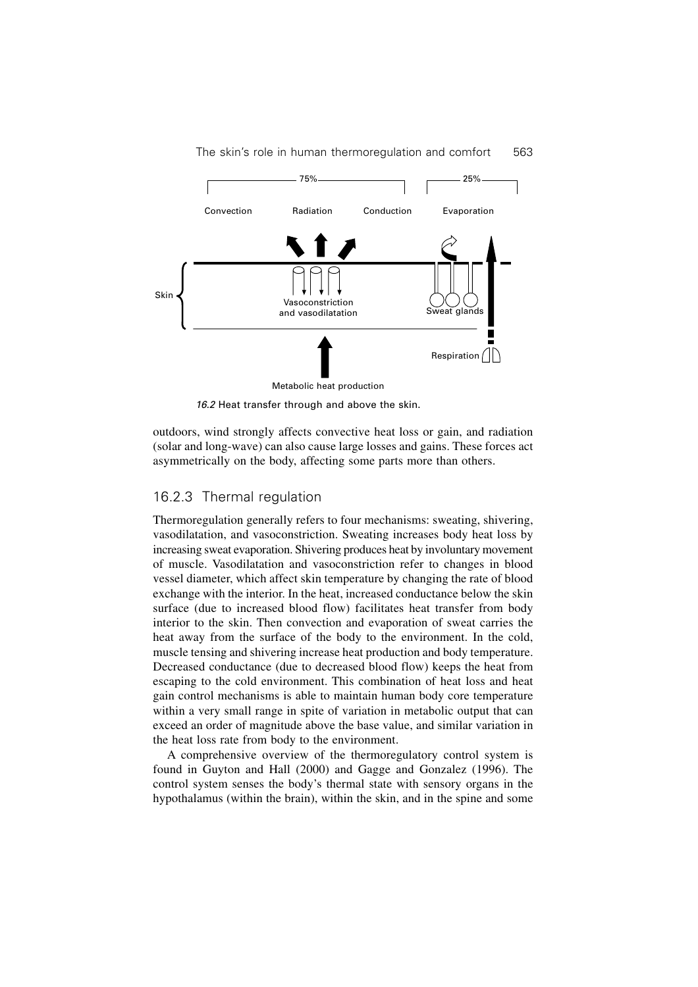

16.2 Heat transfer through and above the skin.

outdoors, wind strongly affects convective heat loss or gain, and radiation (solar and long-wave) can also cause large losses and gains. These forces act asymmetrically on the body, affecting some parts more than others.

## 16.2.3 Thermal regulation

Thermoregulation generally refers to four mechanisms: sweating, shivering, vasodilatation, and vasoconstriction. Sweating increases body heat loss by increasing sweat evaporation. Shivering produces heat by involuntary movement of muscle. Vasodilatation and vasoconstriction refer to changes in blood vessel diameter, which affect skin temperature by changing the rate of blood exchange with the interior. In the heat, increased conductance below the skin surface (due to increased blood flow) facilitates heat transfer from body interior to the skin. Then convection and evaporation of sweat carries the heat away from the surface of the body to the environment. In the cold, muscle tensing and shivering increase heat production and body temperature. Decreased conductance (due to decreased blood flow) keeps the heat from escaping to the cold environment. This combination of heat loss and heat gain control mechanisms is able to maintain human body core temperature within a very small range in spite of variation in metabolic output that can exceed an order of magnitude above the base value, and similar variation in the heat loss rate from body to the environment.

A comprehensive overview of the thermoregulatory control system is found in Guyton and Hall (2000) and Gagge and Gonzalez (1996). The control system senses the body's thermal state with sensory organs in the hypothalamus (within the brain), within the skin, and in the spine and some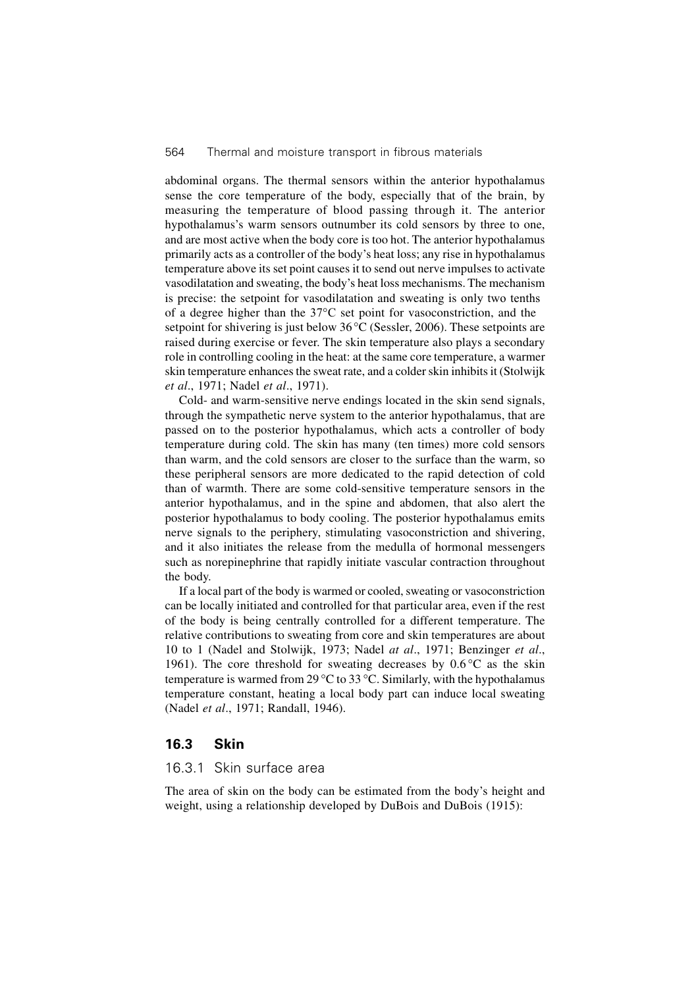abdominal organs. The thermal sensors within the anterior hypothalamus sense the core temperature of the body, especially that of the brain, by measuring the temperature of blood passing through it. The anterior hypothalamus's warm sensors outnumber its cold sensors by three to one, and are most active when the body core is too hot. The anterior hypothalamus primarily acts as a controller of the body's heat loss; any rise in hypothalamus temperature above its set point causes it to send out nerve impulses to activate vasodilatation and sweating, the body's heat loss mechanisms. The mechanism is precise: the setpoint for vasodilatation and sweating is only two tenths of a degree higher than the 37°C set point for vasoconstriction, and the setpoint for shivering is just below 36 °C (Sessler, 2006). These setpoints are raised during exercise or fever. The skin temperature also plays a secondary role in controlling cooling in the heat: at the same core temperature, a warmer skin temperature enhances the sweat rate, and a colder skin inhibits it (Stolwijk *et al*., 1971; Nadel *et al*., 1971).

Cold- and warm-sensitive nerve endings located in the skin send signals, through the sympathetic nerve system to the anterior hypothalamus, that are passed on to the posterior hypothalamus, which acts a controller of body temperature during cold. The skin has many (ten times) more cold sensors than warm, and the cold sensors are closer to the surface than the warm, so these peripheral sensors are more dedicated to the rapid detection of cold than of warmth. There are some cold-sensitive temperature sensors in the anterior hypothalamus, and in the spine and abdomen, that also alert the posterior hypothalamus to body cooling. The posterior hypothalamus emits nerve signals to the periphery, stimulating vasoconstriction and shivering, and it also initiates the release from the medulla of hormonal messengers such as norepinephrine that rapidly initiate vascular contraction throughout the body.

If a local part of the body is warmed or cooled, sweating or vasoconstriction can be locally initiated and controlled for that particular area, even if the rest of the body is being centrally controlled for a different temperature. The relative contributions to sweating from core and skin temperatures are about 10 to 1 (Nadel and Stolwijk, 1973; Nadel *at al*., 1971; Benzinger *et al*., 1961). The core threshold for sweating decreases by  $0.6\degree C$  as the skin temperature is warmed from 29 °C to 33 °C. Similarly, with the hypothalamus temperature constant, heating a local body part can induce local sweating (Nadel *et al*., 1971; Randall, 1946).

## **16.3 Skin**

## 16.3.1 Skin surface area

The area of skin on the body can be estimated from the body's height and weight, using a relationship developed by DuBois and DuBois (1915):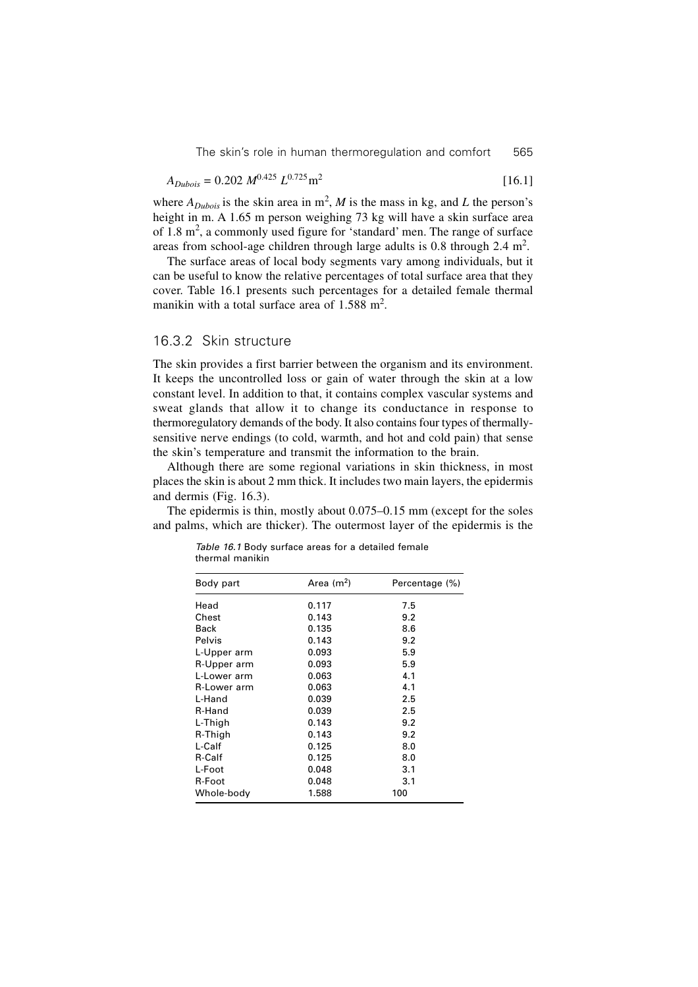$$
A_{\text{Dubois}} = 0.202 \, M^{0.425} \, L^{0.725} \, \text{m}^2 \tag{16.1}
$$

where  $A_{\text{Dubois}}$  is the skin area in  $m^2$ , *M* is the mass in kg, and *L* the person's height in m. A 1.65 m person weighing 73 kg will have a skin surface area of 1.8  $m^2$ , a commonly used figure for 'standard' men. The range of surface areas from school-age children through large adults is 0.8 through  $2.4 \text{ m}^2$ .

The surface areas of local body segments vary among individuals, but it can be useful to know the relative percentages of total surface area that they cover. Table 16.1 presents such percentages for a detailed female thermal manikin with a total surface area of  $1.588 \text{ m}^2$ .

## 16.3.2 Skin structure

The skin provides a first barrier between the organism and its environment. It keeps the uncontrolled loss or gain of water through the skin at a low constant level. In addition to that, it contains complex vascular systems and sweat glands that allow it to change its conductance in response to thermoregulatory demands of the body. It also contains four types of thermallysensitive nerve endings (to cold, warmth, and hot and cold pain) that sense the skin's temperature and transmit the information to the brain.

Although there are some regional variations in skin thickness, in most places the skin is about 2 mm thick. It includes two main layers, the epidermis and dermis (Fig. 16.3).

The epidermis is thin, mostly about 0.075–0.15 mm (except for the soles and palms, which are thicker). The outermost layer of the epidermis is the

| Body part   | Area $(m2)$ | Percentage (%) |
|-------------|-------------|----------------|
| Head        | 0.117       | 7.5            |
| Chest       | 0.143       | 9.2            |
| Back        | 0.135       | 8.6            |
| Pelvis      | 0.143       | 9.2            |
| L-Upper arm | 0.093       | 5.9            |
| R-Upper arm | 0.093       | 5.9            |
| L-Lower arm | 0.063       | 4.1            |
| R-Lower arm | 0.063       | 4.1            |
| L-Hand      | 0.039       | 2.5            |
| R-Hand      | 0.039       | 2.5            |
| L-Thigh     | 0.143       | 9.2            |
| R-Thigh     | 0.143       | 9.2            |
| L-Calf      | 0.125       | 8.0            |
| R-Calf      | 0.125       | 8.0            |
| L-Foot      | 0.048       | 3.1            |
| R-Foot      | 0.048       | 3.1            |
| Whole-body  | 1.588       | 100            |

Table 16.1 Body surface areas for a detailed female thermal manikin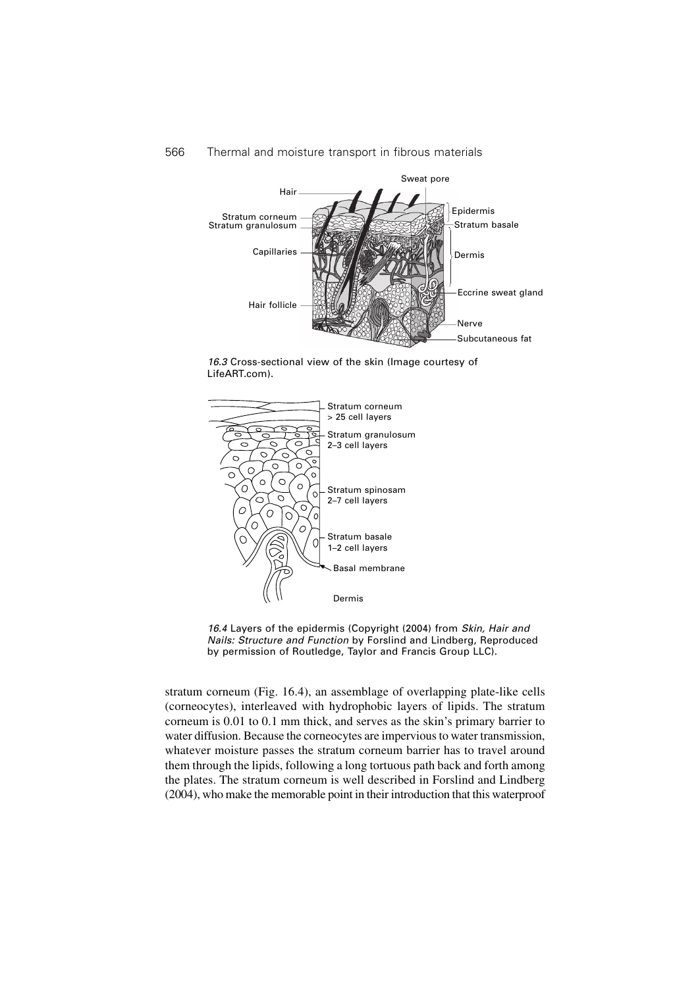







stratum corneum (Fig. 16.4), an assemblage of overlapping plate-like cells (corneocytes), interleaved with hydrophobic layers of lipids. The stratum corneum is 0.01 to 0.1 mm thick, and serves as the skin's primary barrier to water diffusion. Because the corneocytes are impervious to water transmission, whatever moisture passes the stratum corneum barrier has to travel around them through the lipids, following a long tortuous path back and forth among the plates. The stratum corneum is well described in Forslind and Lindberg (2004), who make the memorable point in their introduction that this waterproof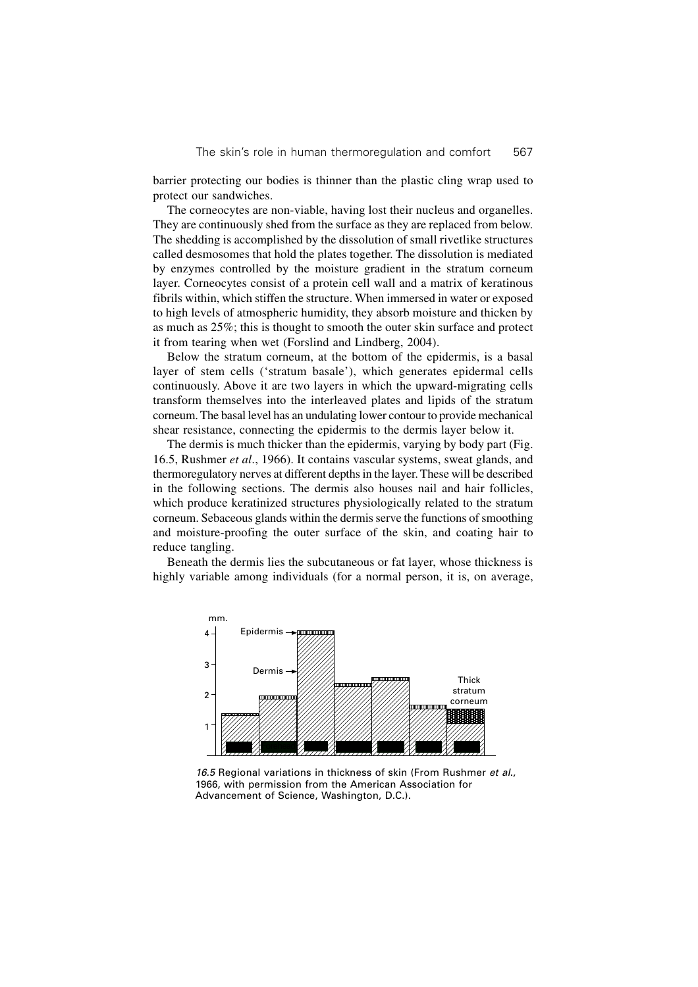barrier protecting our bodies is thinner than the plastic cling wrap used to protect our sandwiches.

The corneocytes are non-viable, having lost their nucleus and organelles. They are continuously shed from the surface as they are replaced from below. The shedding is accomplished by the dissolution of small rivetlike structures called desmosomes that hold the plates together. The dissolution is mediated by enzymes controlled by the moisture gradient in the stratum corneum layer. Corneocytes consist of a protein cell wall and a matrix of keratinous fibrils within, which stiffen the structure. When immersed in water or exposed to high levels of atmospheric humidity, they absorb moisture and thicken by as much as 25%; this is thought to smooth the outer skin surface and protect it from tearing when wet (Forslind and Lindberg, 2004).

Below the stratum corneum, at the bottom of the epidermis, is a basal layer of stem cells ('stratum basale'), which generates epidermal cells continuously. Above it are two layers in which the upward-migrating cells transform themselves into the interleaved plates and lipids of the stratum corneum. The basal level has an undulating lower contour to provide mechanical shear resistance, connecting the epidermis to the dermis layer below it.

The dermis is much thicker than the epidermis, varying by body part (Fig. 16.5, Rushmer *et al*., 1966). It contains vascular systems, sweat glands, and thermoregulatory nerves at different depths in the layer. These will be described in the following sections. The dermis also houses nail and hair follicles, which produce keratinized structures physiologically related to the stratum corneum. Sebaceous glands within the dermis serve the functions of smoothing and moisture-proofing the outer surface of the skin, and coating hair to reduce tangling.

Beneath the dermis lies the subcutaneous or fat layer, whose thickness is highly variable among individuals (for a normal person, it is, on average,



16.5 Regional variations in thickness of skin (From Rushmer et al., 1966, with permission from the American Association for Advancement of Science, Washington, D.C.).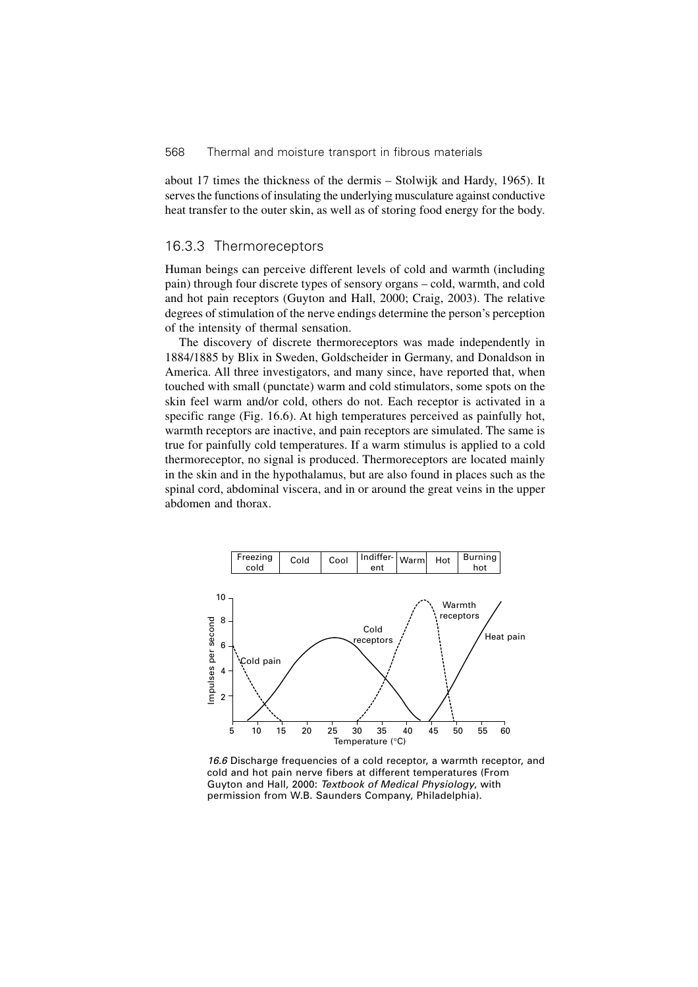about 17 times the thickness of the dermis – Stolwijk and Hardy, 1965). It serves the functions of insulating the underlying musculature against conductive heat transfer to the outer skin, as well as of storing food energy for the body.

## 16.3.3 Thermoreceptors

Human beings can perceive different levels of cold and warmth (including pain) through four discrete types of sensory organs – cold, warmth, and cold and hot pain receptors (Guyton and Hall, 2000; Craig, 2003). The relative degrees of stimulation of the nerve endings determine the person's perception of the intensity of thermal sensation.

The discovery of discrete thermoreceptors was made independently in 1884/1885 by Blix in Sweden, Goldscheider in Germany, and Donaldson in America. All three investigators, and many since, have reported that, when touched with small (punctate) warm and cold stimulators, some spots on the skin feel warm and/or cold, others do not. Each receptor is activated in a specific range (Fig. 16.6). At high temperatures perceived as painfully hot, warmth receptors are inactive, and pain receptors are simulated. The same is true for painfully cold temperatures. If a warm stimulus is applied to a cold thermoreceptor, no signal is produced. Thermoreceptors are located mainly in the skin and in the hypothalamus, but are also found in places such as the spinal cord, abdominal viscera, and in or around the great veins in the upper abdomen and thorax.



16.6 Discharge frequencies of a cold receptor, a warmth receptor, and cold and hot pain nerve fibers at different temperatures (From Guyton and Hall, 2000: Textbook of Medical Physiology, with permission from W.B. Saunders Company, Philadelphia).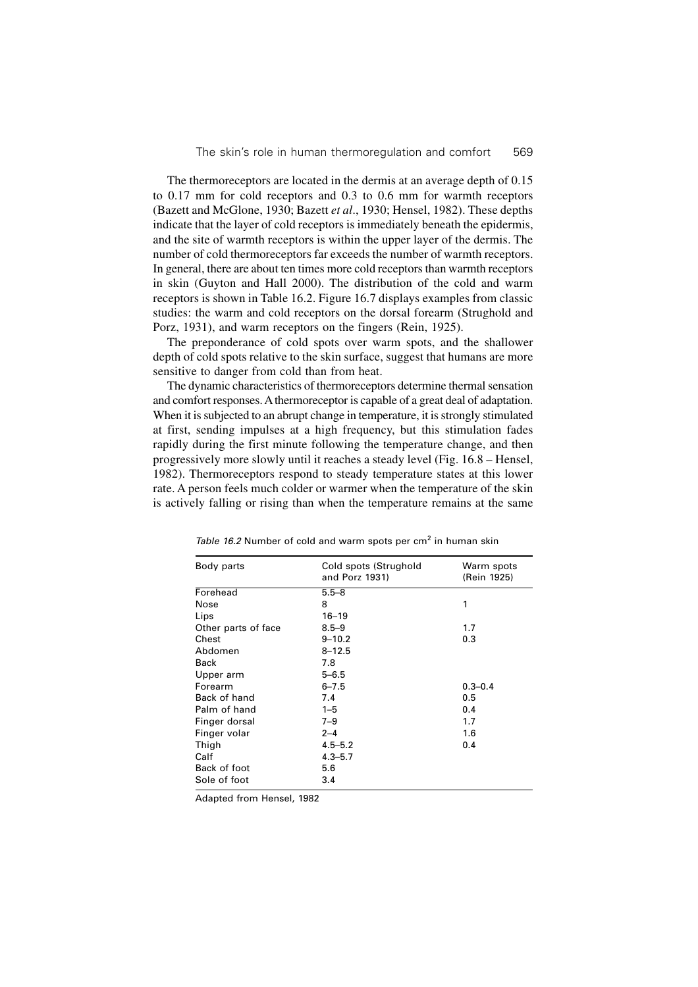The thermoreceptors are located in the dermis at an average depth of 0.15 to 0.17 mm for cold receptors and 0.3 to 0.6 mm for warmth receptors (Bazett and McGlone, 1930; Bazett *et al*., 1930; Hensel, 1982). These depths indicate that the layer of cold receptors is immediately beneath the epidermis, and the site of warmth receptors is within the upper layer of the dermis. The number of cold thermoreceptors far exceeds the number of warmth receptors. In general, there are about ten times more cold receptors than warmth receptors in skin (Guyton and Hall 2000). The distribution of the cold and warm receptors is shown in Table 16.2. Figure 16.7 displays examples from classic studies: the warm and cold receptors on the dorsal forearm (Strughold and Porz, 1931), and warm receptors on the fingers (Rein, 1925).

The preponderance of cold spots over warm spots, and the shallower depth of cold spots relative to the skin surface, suggest that humans are more sensitive to danger from cold than from heat.

The dynamic characteristics of thermoreceptors determine thermal sensation and comfort responses. A thermoreceptor is capable of a great deal of adaptation. When it is subjected to an abrupt change in temperature, it is strongly stimulated at first, sending impulses at a high frequency, but this stimulation fades rapidly during the first minute following the temperature change, and then progressively more slowly until it reaches a steady level (Fig. 16.8 – Hensel, 1982). Thermoreceptors respond to steady temperature states at this lower rate. A person feels much colder or warmer when the temperature of the skin is actively falling or rising than when the temperature remains at the same

| Body parts          | Cold spots (Strughold<br>and Porz 1931) | Warm spots<br>(Rein 1925) |
|---------------------|-----------------------------------------|---------------------------|
| Forehead            | $5.5 - 8$                               |                           |
| Nose                | 8                                       | 1                         |
| Lips                | $16 - 19$                               |                           |
| Other parts of face | $8.5 - 9$                               | 1.7                       |
| Chest               | $9 - 10.2$                              | 0.3                       |
| Abdomen             | $8 - 12.5$                              |                           |
| Back                | 7.8                                     |                           |
| Upper arm           | $5 - 6.5$                               |                           |
| Forearm             | $6 - 7.5$                               | $0.3 - 0.4$               |
| Back of hand        | 7.4                                     | 0.5                       |
| Palm of hand        | $1 - 5$                                 | 0.4                       |
| Finger dorsal       | $7 - 9$                                 | 1.7                       |
| Finger volar        | $2 - 4$                                 | 1.6                       |
| Thigh               | $4.5 - 5.2$                             | 0.4                       |
| Calf                | $4.3 - 5.7$                             |                           |
| Back of foot        | 5.6                                     |                           |
| Sole of foot        | 3.4                                     |                           |

Table 16.2 Number of cold and warm spots per  $cm<sup>2</sup>$  in human skin

Adapted from Hensel, 1982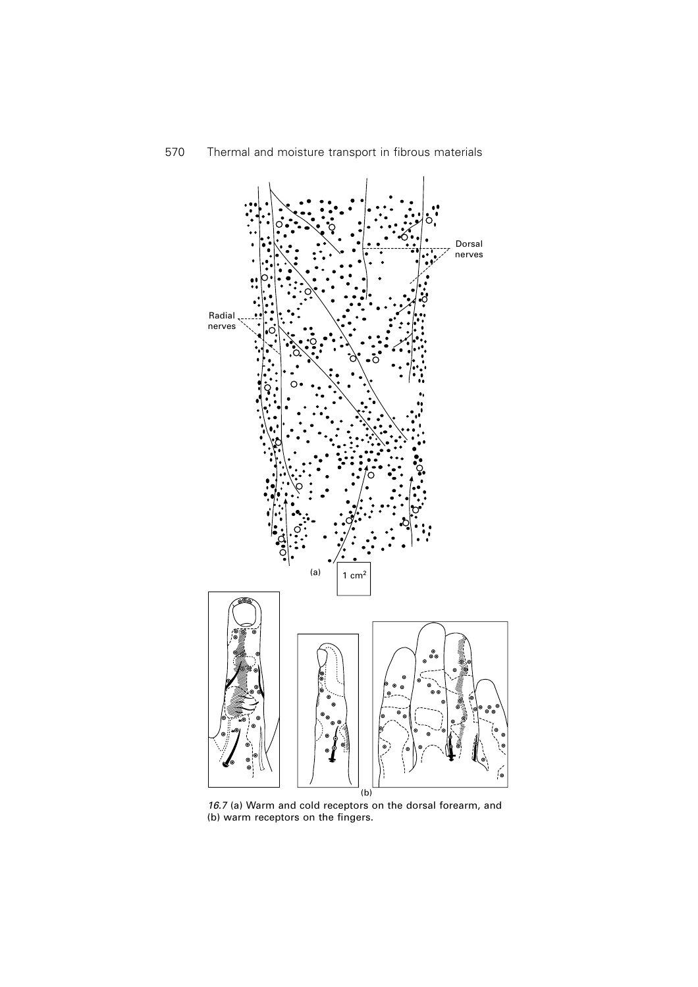570 Thermal and moisture transport in fibrous materials



16.7 (a) Warm and cold receptors on the dorsal forearm, and (b) warm receptors on the fingers.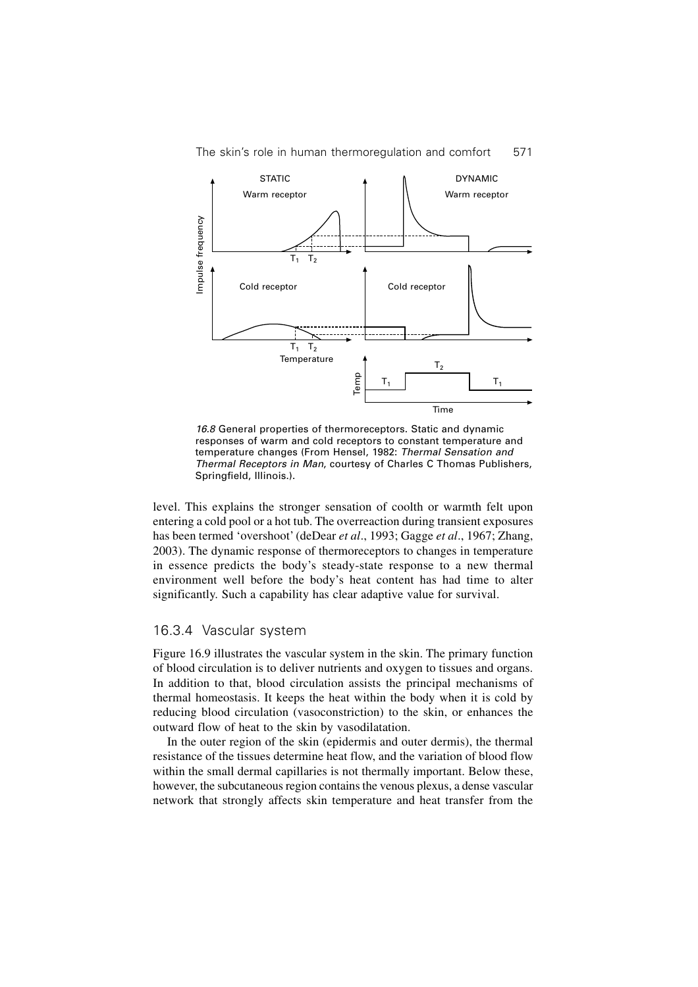

16.8 General properties of thermoreceptors. Static and dynamic responses of warm and cold receptors to constant temperature and temperature changes (From Hensel, 1982: Thermal Sensation and Thermal Receptors in Man, courtesy of Charles C Thomas Publishers, Springfield, Illinois.).

level. This explains the stronger sensation of coolth or warmth felt upon entering a cold pool or a hot tub. The overreaction during transient exposures has been termed 'overshoot' (deDear *et al*., 1993; Gagge *et al*., 1967; Zhang, 2003). The dynamic response of thermoreceptors to changes in temperature in essence predicts the body's steady-state response to a new thermal environment well before the body's heat content has had time to alter significantly. Such a capability has clear adaptive value for survival.

## 16.3.4 Vascular system

Figure 16.9 illustrates the vascular system in the skin. The primary function of blood circulation is to deliver nutrients and oxygen to tissues and organs. In addition to that, blood circulation assists the principal mechanisms of thermal homeostasis. It keeps the heat within the body when it is cold by reducing blood circulation (vasoconstriction) to the skin, or enhances the outward flow of heat to the skin by vasodilatation.

In the outer region of the skin (epidermis and outer dermis), the thermal resistance of the tissues determine heat flow, and the variation of blood flow within the small dermal capillaries is not thermally important. Below these, however, the subcutaneous region contains the venous plexus, a dense vascular network that strongly affects skin temperature and heat transfer from the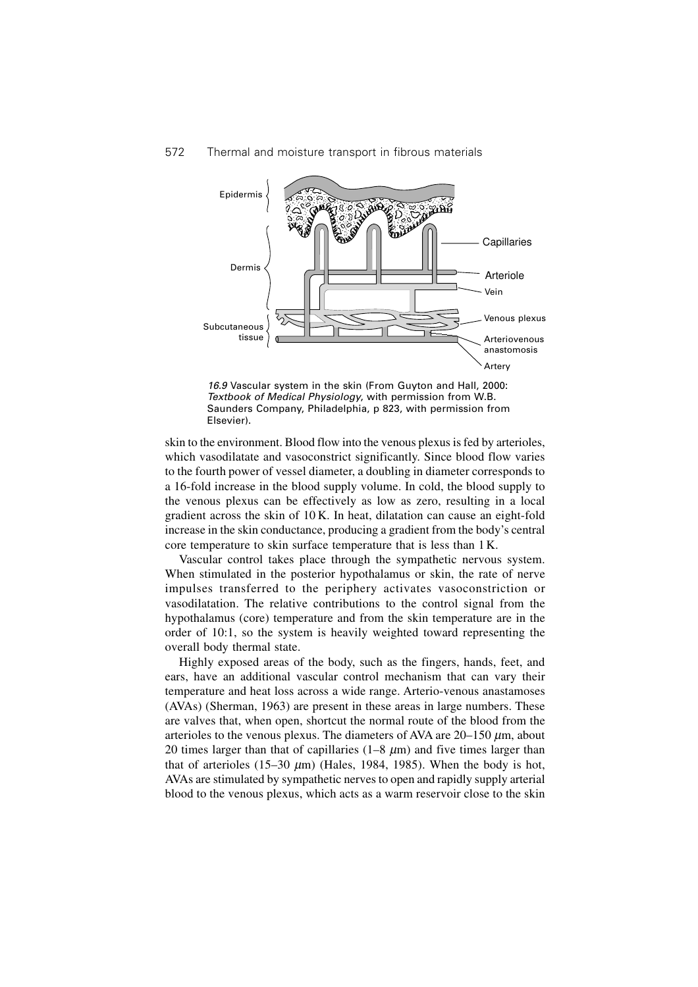

16.9 Vascular system in the skin (From Guyton and Hall, 2000: Textbook of Medical Physiology, with permission from W.B. Saunders Company, Philadelphia, p 823, with permission from Elsevier).

skin to the environment. Blood flow into the venous plexus is fed by arterioles, which vasodilatate and vasoconstrict significantly. Since blood flow varies to the fourth power of vessel diameter, a doubling in diameter corresponds to a 16-fold increase in the blood supply volume. In cold, the blood supply to the venous plexus can be effectively as low as zero, resulting in a local gradient across the skin of 10 K. In heat, dilatation can cause an eight-fold increase in the skin conductance, producing a gradient from the body's central core temperature to skin surface temperature that is less than 1 K.

Vascular control takes place through the sympathetic nervous system. When stimulated in the posterior hypothalamus or skin, the rate of nerve impulses transferred to the periphery activates vasoconstriction or vasodilatation. The relative contributions to the control signal from the hypothalamus (core) temperature and from the skin temperature are in the order of 10:1, so the system is heavily weighted toward representing the overall body thermal state.

Highly exposed areas of the body, such as the fingers, hands, feet, and ears, have an additional vascular control mechanism that can vary their temperature and heat loss across a wide range. Arterio-venous anastamoses (AVAs) (Sherman, 1963) are present in these areas in large numbers. These are valves that, when open, shortcut the normal route of the blood from the arterioles to the venous plexus. The diameters of AVA are  $20-150 \ \mu m$ , about 20 times larger than that of capillaries  $(1-8 \mu m)$  and five times larger than that of arterioles (15–30  $\mu$ m) (Hales, 1984, 1985). When the body is hot, AVAs are stimulated by sympathetic nerves to open and rapidly supply arterial blood to the venous plexus, which acts as a warm reservoir close to the skin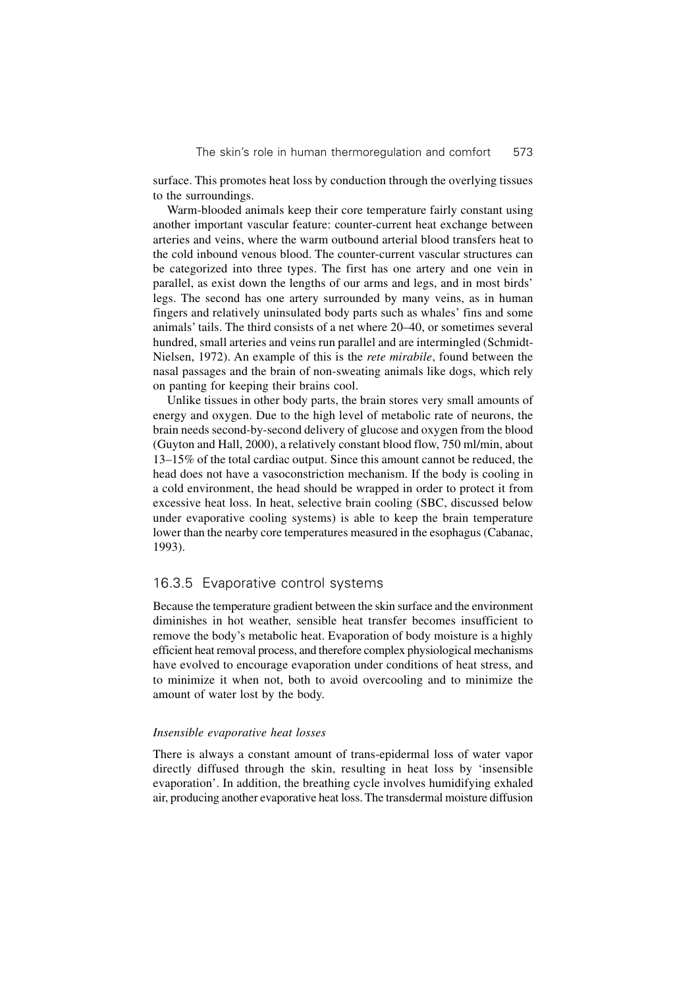surface. This promotes heat loss by conduction through the overlying tissues to the surroundings.

Warm-blooded animals keep their core temperature fairly constant using another important vascular feature: counter-current heat exchange between arteries and veins, where the warm outbound arterial blood transfers heat to the cold inbound venous blood. The counter-current vascular structures can be categorized into three types. The first has one artery and one vein in parallel, as exist down the lengths of our arms and legs, and in most birds' legs. The second has one artery surrounded by many veins, as in human fingers and relatively uninsulated body parts such as whales' fins and some animals' tails. The third consists of a net where 20–40, or sometimes several hundred, small arteries and veins run parallel and are intermingled (Schmidt-Nielsen, 1972). An example of this is the *rete mirabile*, found between the nasal passages and the brain of non-sweating animals like dogs, which rely on panting for keeping their brains cool.

Unlike tissues in other body parts, the brain stores very small amounts of energy and oxygen. Due to the high level of metabolic rate of neurons, the brain needs second-by-second delivery of glucose and oxygen from the blood (Guyton and Hall, 2000), a relatively constant blood flow, 750 ml/min, about 13–15% of the total cardiac output. Since this amount cannot be reduced, the head does not have a vasoconstriction mechanism. If the body is cooling in a cold environment, the head should be wrapped in order to protect it from excessive heat loss. In heat, selective brain cooling (SBC, discussed below under evaporative cooling systems) is able to keep the brain temperature lower than the nearby core temperatures measured in the esophagus (Cabanac, 1993).

## 16.3.5 Evaporative control systems

Because the temperature gradient between the skin surface and the environment diminishes in hot weather, sensible heat transfer becomes insufficient to remove the body's metabolic heat. Evaporation of body moisture is a highly efficient heat removal process, and therefore complex physiological mechanisms have evolved to encourage evaporation under conditions of heat stress, and to minimize it when not, both to avoid overcooling and to minimize the amount of water lost by the body.

#### *Insensible evaporative heat losses*

There is always a constant amount of trans-epidermal loss of water vapor directly diffused through the skin, resulting in heat loss by 'insensible evaporation'. In addition, the breathing cycle involves humidifying exhaled air, producing another evaporative heat loss. The transdermal moisture diffusion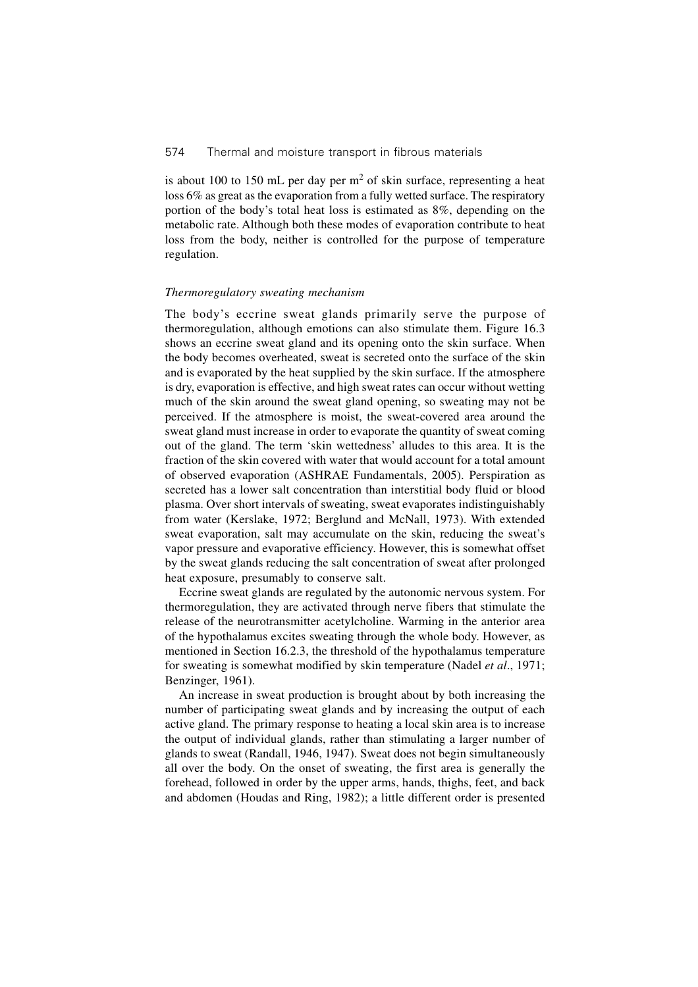is about 100 to 150 mL per day per  $m^2$  of skin surface, representing a heat loss 6% as great as the evaporation from a fully wetted surface. The respiratory portion of the body's total heat loss is estimated as 8%, depending on the metabolic rate. Although both these modes of evaporation contribute to heat loss from the body, neither is controlled for the purpose of temperature regulation.

#### *Thermoregulatory sweating mechanism*

The body's eccrine sweat glands primarily serve the purpose of thermoregulation, although emotions can also stimulate them. Figure 16.3 shows an eccrine sweat gland and its opening onto the skin surface. When the body becomes overheated, sweat is secreted onto the surface of the skin and is evaporated by the heat supplied by the skin surface. If the atmosphere is dry, evaporation is effective, and high sweat rates can occur without wetting much of the skin around the sweat gland opening, so sweating may not be perceived. If the atmosphere is moist, the sweat-covered area around the sweat gland must increase in order to evaporate the quantity of sweat coming out of the gland. The term 'skin wettedness' alludes to this area. It is the fraction of the skin covered with water that would account for a total amount of observed evaporation (ASHRAE Fundamentals, 2005). Perspiration as secreted has a lower salt concentration than interstitial body fluid or blood plasma. Over short intervals of sweating, sweat evaporates indistinguishably from water (Kerslake, 1972; Berglund and McNall, 1973). With extended sweat evaporation, salt may accumulate on the skin, reducing the sweat's vapor pressure and evaporative efficiency. However, this is somewhat offset by the sweat glands reducing the salt concentration of sweat after prolonged heat exposure, presumably to conserve salt.

Eccrine sweat glands are regulated by the autonomic nervous system. For thermoregulation, they are activated through nerve fibers that stimulate the release of the neurotransmitter acetylcholine. Warming in the anterior area of the hypothalamus excites sweating through the whole body. However, as mentioned in Section 16.2.3, the threshold of the hypothalamus temperature for sweating is somewhat modified by skin temperature (Nadel *et al*., 1971; Benzinger, 1961).

An increase in sweat production is brought about by both increasing the number of participating sweat glands and by increasing the output of each active gland. The primary response to heating a local skin area is to increase the output of individual glands, rather than stimulating a larger number of glands to sweat (Randall, 1946, 1947). Sweat does not begin simultaneously all over the body. On the onset of sweating, the first area is generally the forehead, followed in order by the upper arms, hands, thighs, feet, and back and abdomen (Houdas and Ring, 1982); a little different order is presented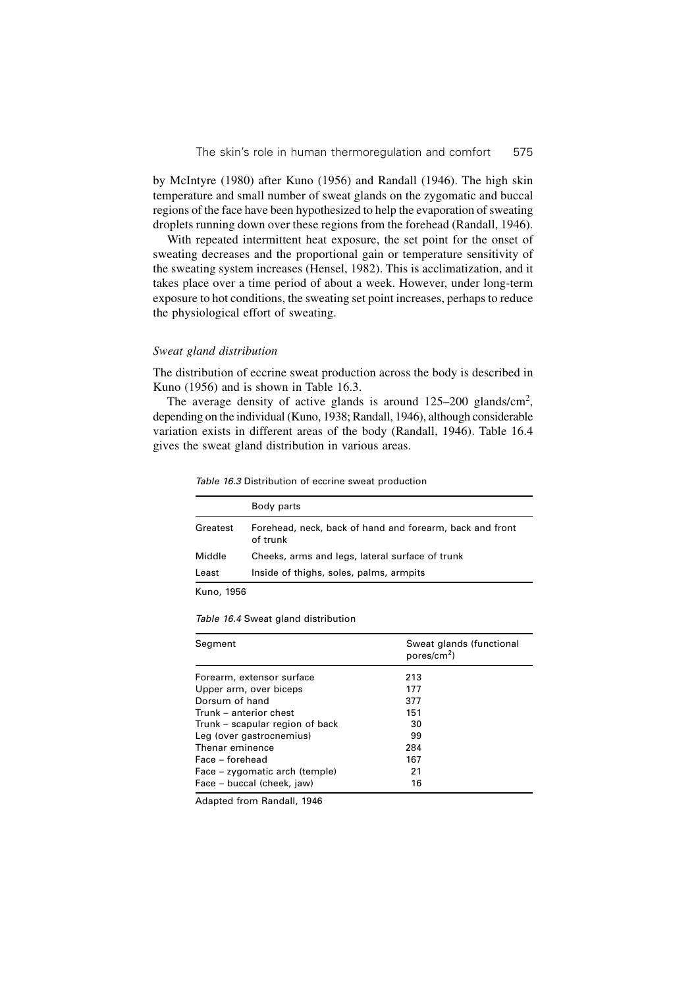by McIntyre (1980) after Kuno (1956) and Randall (1946). The high skin temperature and small number of sweat glands on the zygomatic and buccal regions of the face have been hypothesized to help the evaporation of sweating droplets running down over these regions from the forehead (Randall, 1946).

With repeated intermittent heat exposure, the set point for the onset of sweating decreases and the proportional gain or temperature sensitivity of the sweating system increases (Hensel, 1982). This is acclimatization, and it takes place over a time period of about a week. However, under long-term exposure to hot conditions, the sweating set point increases, perhaps to reduce the physiological effort of sweating.

#### *Sweat gland distribution*

The distribution of eccrine sweat production across the body is described in Kuno (1956) and is shown in Table 16.3.

The average density of active glands is around  $125-200$  glands/cm<sup>2</sup>, depending on the individual (Kuno, 1938; Randall, 1946), although considerable variation exists in different areas of the body (Randall, 1946). Table 16.4 gives the sweat gland distribution in various areas.

|  | Table 16.3 Distribution of eccrine sweat production |  |  |
|--|-----------------------------------------------------|--|--|
|  |                                                     |  |  |

|                             | Body parts                                                           |
|-----------------------------|----------------------------------------------------------------------|
| Greatest                    | Forehead, neck, back of hand and forearm, back and front<br>of trunk |
| Middle                      | Cheeks, arms and legs, lateral surface of trunk                      |
| Least                       | Inside of thighs, soles, palms, armpits                              |
| $\mathcal{L}$ $\mathcal{L}$ |                                                                      |

Kuno, 1956

Table 16.4 Sweat gland distribution

| Segment                         | Sweat glands (functional<br>pores/cm <sup>2</sup> ) |
|---------------------------------|-----------------------------------------------------|
| Forearm, extensor surface       | 213                                                 |
| Upper arm, over biceps          | 177                                                 |
| Dorsum of hand                  | 377                                                 |
| Trunk – anterior chest          | 151                                                 |
| Trunk – scapular region of back | 30                                                  |
| Leg (over gastrocnemius)        | 99                                                  |
| Thenar eminence                 | 284                                                 |
| Face - forehead                 | 167                                                 |
| Face – zygomatic arch (temple)  | 21                                                  |
| Face – buccal (cheek, jaw)      | 16                                                  |

Adapted from Randall, 1946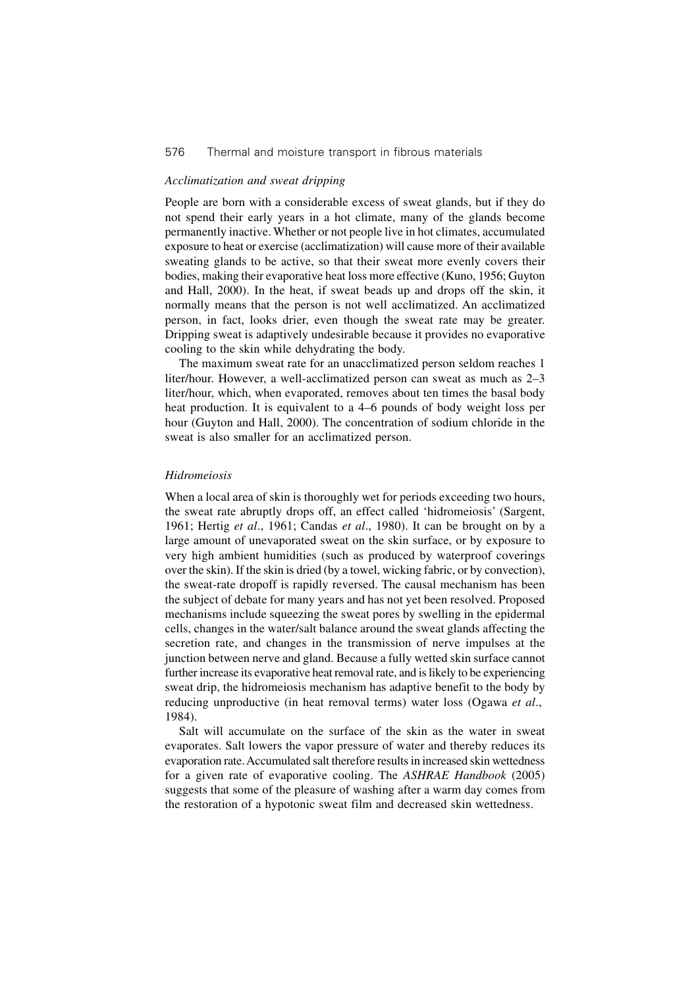#### *Acclimatization and sweat dripping*

People are born with a considerable excess of sweat glands, but if they do not spend their early years in a hot climate, many of the glands become permanently inactive. Whether or not people live in hot climates, accumulated exposure to heat or exercise (acclimatization) will cause more of their available sweating glands to be active, so that their sweat more evenly covers their bodies, making their evaporative heat loss more effective (Kuno, 1956; Guyton and Hall, 2000). In the heat, if sweat beads up and drops off the skin, it normally means that the person is not well acclimatized. An acclimatized person, in fact, looks drier, even though the sweat rate may be greater. Dripping sweat is adaptively undesirable because it provides no evaporative cooling to the skin while dehydrating the body.

The maximum sweat rate for an unacclimatized person seldom reaches 1 liter/hour. However, a well-acclimatized person can sweat as much as 2–3 liter/hour, which, when evaporated, removes about ten times the basal body heat production. It is equivalent to a 4–6 pounds of body weight loss per hour (Guyton and Hall, 2000). The concentration of sodium chloride in the sweat is also smaller for an acclimatized person.

#### *Hidromeiosis*

When a local area of skin is thoroughly wet for periods exceeding two hours, the sweat rate abruptly drops off, an effect called 'hidromeiosis' (Sargent, 1961; Hertig *et al*., 1961; Candas *et al*., 1980). It can be brought on by a large amount of unevaporated sweat on the skin surface, or by exposure to very high ambient humidities (such as produced by waterproof coverings over the skin). If the skin is dried (by a towel, wicking fabric, or by convection), the sweat-rate dropoff is rapidly reversed. The causal mechanism has been the subject of debate for many years and has not yet been resolved. Proposed mechanisms include squeezing the sweat pores by swelling in the epidermal cells, changes in the water/salt balance around the sweat glands affecting the secretion rate, and changes in the transmission of nerve impulses at the junction between nerve and gland. Because a fully wetted skin surface cannot further increase its evaporative heat removal rate, and is likely to be experiencing sweat drip, the hidromeiosis mechanism has adaptive benefit to the body by reducing unproductive (in heat removal terms) water loss (Ogawa *et al*., 1984).

Salt will accumulate on the surface of the skin as the water in sweat evaporates. Salt lowers the vapor pressure of water and thereby reduces its evaporation rate. Accumulated salt therefore results in increased skin wettedness for a given rate of evaporative cooling. The *ASHRAE Handbook* (2005) suggests that some of the pleasure of washing after a warm day comes from the restoration of a hypotonic sweat film and decreased skin wettedness.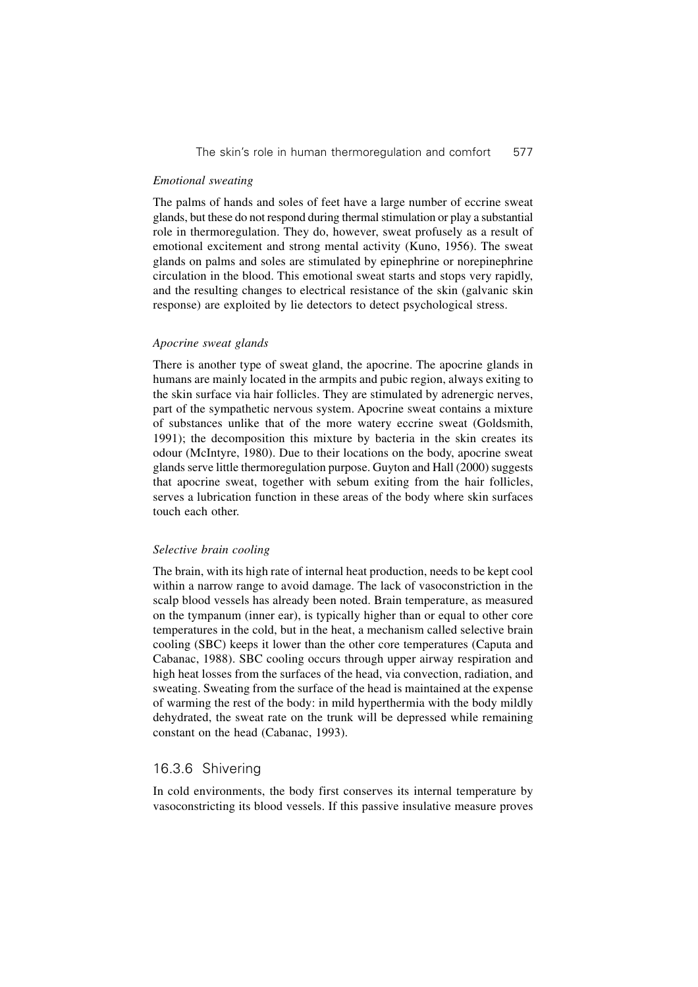## *Emotional sweating*

The palms of hands and soles of feet have a large number of eccrine sweat glands, but these do not respond during thermal stimulation or play a substantial role in thermoregulation. They do, however, sweat profusely as a result of emotional excitement and strong mental activity (Kuno, 1956). The sweat glands on palms and soles are stimulated by epinephrine or norepinephrine circulation in the blood. This emotional sweat starts and stops very rapidly, and the resulting changes to electrical resistance of the skin (galvanic skin response) are exploited by lie detectors to detect psychological stress.

#### *Apocrine sweat glands*

There is another type of sweat gland, the apocrine. The apocrine glands in humans are mainly located in the armpits and pubic region, always exiting to the skin surface via hair follicles. They are stimulated by adrenergic nerves, part of the sympathetic nervous system. Apocrine sweat contains a mixture of substances unlike that of the more watery eccrine sweat (Goldsmith, 1991); the decomposition this mixture by bacteria in the skin creates its odour (McIntyre, 1980). Due to their locations on the body, apocrine sweat glands serve little thermoregulation purpose. Guyton and Hall (2000) suggests that apocrine sweat, together with sebum exiting from the hair follicles, serves a lubrication function in these areas of the body where skin surfaces touch each other.

#### *Selective brain cooling*

The brain, with its high rate of internal heat production, needs to be kept cool within a narrow range to avoid damage. The lack of vasoconstriction in the scalp blood vessels has already been noted. Brain temperature, as measured on the tympanum (inner ear), is typically higher than or equal to other core temperatures in the cold, but in the heat, a mechanism called selective brain cooling (SBC) keeps it lower than the other core temperatures (Caputa and Cabanac, 1988). SBC cooling occurs through upper airway respiration and high heat losses from the surfaces of the head, via convection, radiation, and sweating. Sweating from the surface of the head is maintained at the expense of warming the rest of the body: in mild hyperthermia with the body mildly dehydrated, the sweat rate on the trunk will be depressed while remaining constant on the head (Cabanac, 1993).

## 16.3.6 Shivering

In cold environments, the body first conserves its internal temperature by vasoconstricting its blood vessels. If this passive insulative measure proves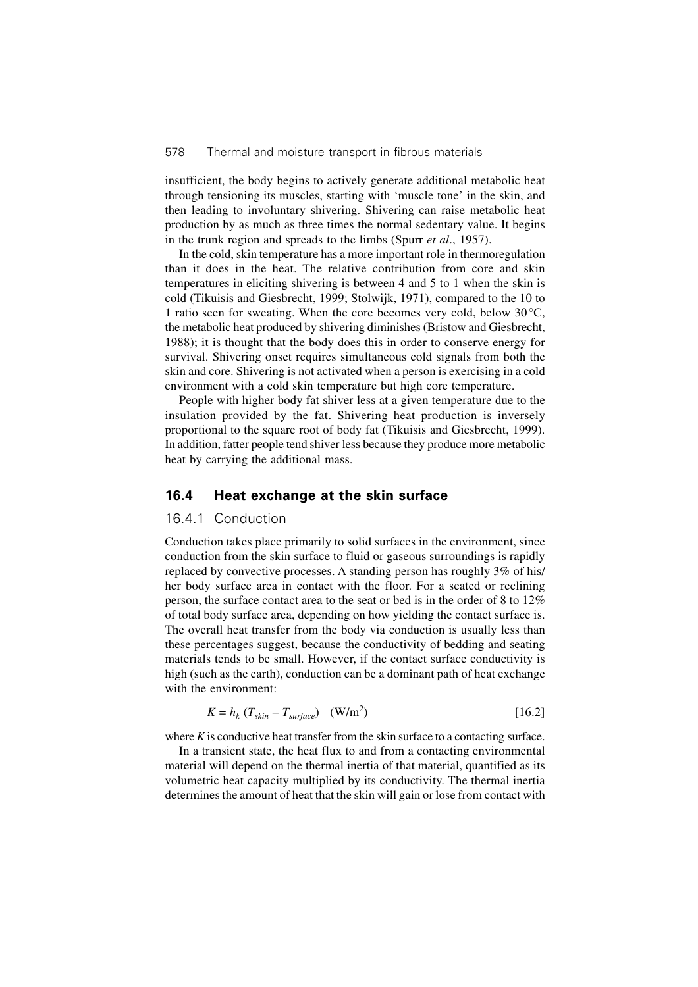insufficient, the body begins to actively generate additional metabolic heat through tensioning its muscles, starting with 'muscle tone' in the skin, and then leading to involuntary shivering. Shivering can raise metabolic heat production by as much as three times the normal sedentary value. It begins in the trunk region and spreads to the limbs (Spurr *et al*., 1957).

In the cold, skin temperature has a more important role in thermoregulation than it does in the heat. The relative contribution from core and skin temperatures in eliciting shivering is between 4 and 5 to 1 when the skin is cold (Tikuisis and Giesbrecht, 1999; Stolwijk, 1971), compared to the 10 to 1 ratio seen for sweating. When the core becomes very cold, below  $30^{\circ}$ C, the metabolic heat produced by shivering diminishes (Bristow and Giesbrecht, 1988); it is thought that the body does this in order to conserve energy for survival. Shivering onset requires simultaneous cold signals from both the skin and core. Shivering is not activated when a person is exercising in a cold environment with a cold skin temperature but high core temperature.

People with higher body fat shiver less at a given temperature due to the insulation provided by the fat. Shivering heat production is inversely proportional to the square root of body fat (Tikuisis and Giesbrecht, 1999). In addition, fatter people tend shiver less because they produce more metabolic heat by carrying the additional mass.

## **16.4 Heat exchange at the skin surface**

#### 16.4.1 Conduction

Conduction takes place primarily to solid surfaces in the environment, since conduction from the skin surface to fluid or gaseous surroundings is rapidly replaced by convective processes. A standing person has roughly 3% of his/ her body surface area in contact with the floor. For a seated or reclining person, the surface contact area to the seat or bed is in the order of 8 to 12% of total body surface area, depending on how yielding the contact surface is. The overall heat transfer from the body via conduction is usually less than these percentages suggest, because the conductivity of bedding and seating materials tends to be small. However, if the contact surface conductivity is high (such as the earth), conduction can be a dominant path of heat exchange with the environment:

$$
K = h_k (T_{skin} - T_{surface}) \quad (W/m^2)
$$
 [16.2]

where *K* is conductive heat transfer from the skin surface to a contacting surface.

In a transient state, the heat flux to and from a contacting environmental material will depend on the thermal inertia of that material, quantified as its volumetric heat capacity multiplied by its conductivity. The thermal inertia determines the amount of heat that the skin will gain or lose from contact with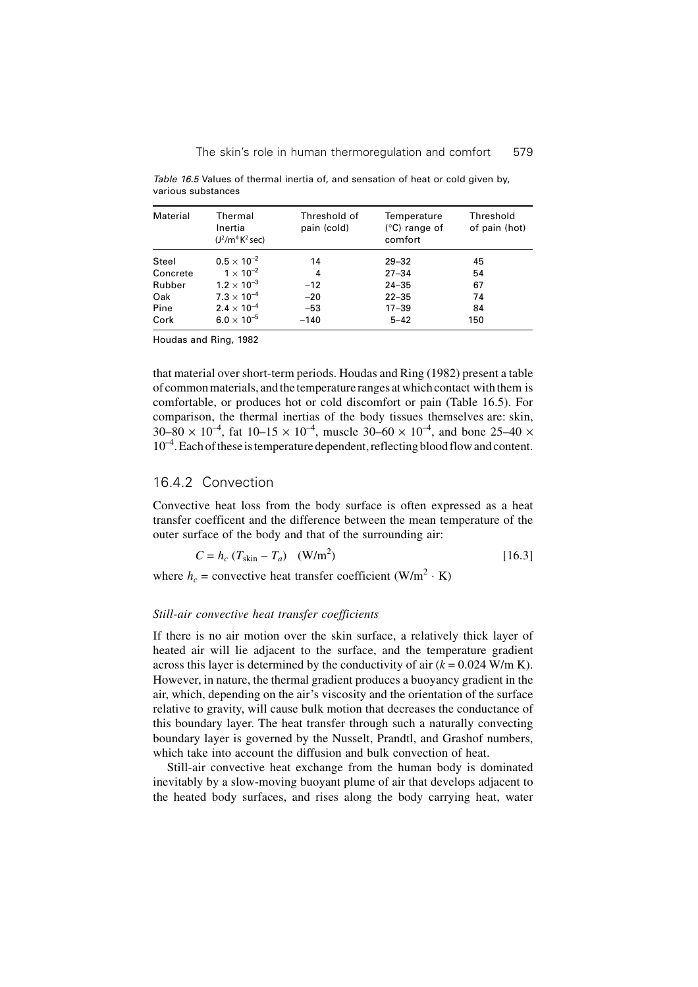| Material | Thermal<br>Inertia<br>$(J^2/m^4 K^2 \text{ sec})$ | Threshold of<br>pain (cold) | Temperature<br>$(°C)$ range of<br>comfort | Threshold<br>of pain (hot) |
|----------|---------------------------------------------------|-----------------------------|-------------------------------------------|----------------------------|
| Steel    | $0.5 \times 10^{-2}$                              | 14                          | $29 - 32$                                 | 45                         |
| Concrete | $1 \times 10^{-2}$                                | 4                           | $27 - 34$                                 | 54                         |
| Rubber   | $1.2 \times 10^{-3}$                              | $-12$                       | $24 - 35$                                 | 67                         |
| Oak      | $7.3 \times 10^{-4}$                              | $-20$                       | $22 - 35$                                 | 74                         |
| Pine     | $2.4 \times 10^{-4}$                              | $-53$                       | $17 - 39$                                 | 84                         |
| Cork     | $6.0 \times 10^{-5}$                              | $-140$                      | $5 - 42$                                  | 150                        |

Table 16.5 Values of thermal inertia of, and sensation of heat or cold given by, various substances

Houdas and Ring, 1982

that material over short-term periods. Houdas and Ring (1982) present a table of common materials, and the temperature ranges at which contact with them is comfortable, or produces hot or cold discomfort or pain (Table 16.5). For comparison, the thermal inertias of the body tissues themselves are: skin,  $30-80 \times 10^{-4}$ , fat  $10-15 \times 10^{-4}$ , muscle  $30-60 \times 10^{-4}$ , and bone 25-40  $\times$  $10^{-4}$ . Each of these is temperature dependent, reflecting blood flow and content.

## 16.4.2 Convection

Convective heat loss from the body surface is often expressed as a heat transfer coefficent and the difference between the mean temperature of the outer surface of the body and that of the surrounding air:

$$
C = h_c (T_{\text{skin}} - T_a) \quad (W/m^2)
$$
 [16.3]

where  $h_c$  = convective heat transfer coefficient (W/m<sup>2</sup> · K)

#### *Still-air convective heat transfer coefficients*

If there is no air motion over the skin surface, a relatively thick layer of heated air will lie adjacent to the surface, and the temperature gradient across this layer is determined by the conductivity of air  $(k = 0.024$  W/m K). However, in nature, the thermal gradient produces a buoyancy gradient in the air, which, depending on the air's viscosity and the orientation of the surface relative to gravity, will cause bulk motion that decreases the conductance of this boundary layer. The heat transfer through such a naturally convecting boundary layer is governed by the Nusselt, Prandtl, and Grashof numbers, which take into account the diffusion and bulk convection of heat.

Still-air convective heat exchange from the human body is dominated inevitably by a slow-moving buoyant plume of air that develops adjacent to the heated body surfaces, and rises along the body carrying heat, water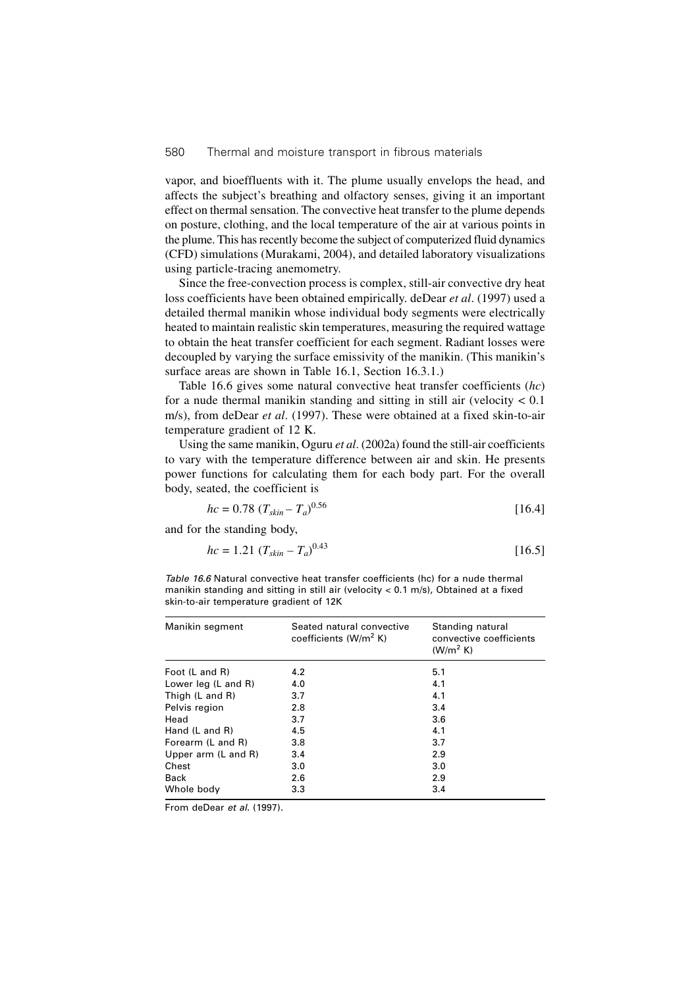vapor, and bioeffluents with it. The plume usually envelops the head, and affects the subject's breathing and olfactory senses, giving it an important effect on thermal sensation. The convective heat transfer to the plume depends on posture, clothing, and the local temperature of the air at various points in the plume. This has recently become the subject of computerized fluid dynamics (CFD) simulations (Murakami, 2004), and detailed laboratory visualizations using particle-tracing anemometry.

Since the free-convection process is complex, still-air convective dry heat loss coefficients have been obtained empirically. deDear *et al*. (1997) used a detailed thermal manikin whose individual body segments were electrically heated to maintain realistic skin temperatures, measuring the required wattage to obtain the heat transfer coefficient for each segment. Radiant losses were decoupled by varying the surface emissivity of the manikin. (This manikin's surface areas are shown in Table 16.1, Section 16.3.1.)

Table 16.6 gives some natural convective heat transfer coefficients (*hc*) for a nude thermal manikin standing and sitting in still air (velocity  $< 0.1$ ) m/s), from deDear *et al*. (1997). These were obtained at a fixed skin-to-air temperature gradient of 12 K.

Using the same manikin, Oguru *et al*. (2002a) found the still-air coefficients to vary with the temperature difference between air and skin. He presents power functions for calculating them for each body part. For the overall body, seated, the coefficient is

$$
hc = 0.78 \left( T_{skin} - T_a \right)^{0.56} \tag{16.4}
$$

and for the standing body,

$$
hc = 1.21 \left( T_{skin} - T_a \right)^{0.43} \tag{16.5}
$$

Table 16.6 Natural convective heat transfer coefficients (hc) for a nude thermal manikin standing and sitting in still air (velocity < 0.1 m/s), Obtained at a fixed skin-to-air temperature gradient of 12K

| Manikin segment         | Seated natural convective<br>coefficients $(W/m^2 K)$ | Standing natural<br>convective coefficients<br>(W/m <sup>2</sup> K) |
|-------------------------|-------------------------------------------------------|---------------------------------------------------------------------|
| Foot (L and R)          | 4.2                                                   | 5.1                                                                 |
| Lower $leg(L and R)$    | 4.0                                                   | 4.1                                                                 |
| Thigh (L and R)         | 3.7                                                   | 4.1                                                                 |
| Pelvis region           | 2.8                                                   | 3.4                                                                 |
| Head                    | 3.7                                                   | 3.6                                                                 |
| Hand (L and R)          | 4.5                                                   | 4.1                                                                 |
| Forearm (L and R)       | 3.8                                                   | 3.7                                                                 |
| Upper arm $(L$ and $R)$ | 3.4                                                   | 2.9                                                                 |
| Chest                   | 3.0                                                   | 3.0                                                                 |
| <b>Back</b>             | 2.6                                                   | 2.9                                                                 |
| Whole body              | 3.3                                                   | 3.4                                                                 |

From deDear et al. (1997).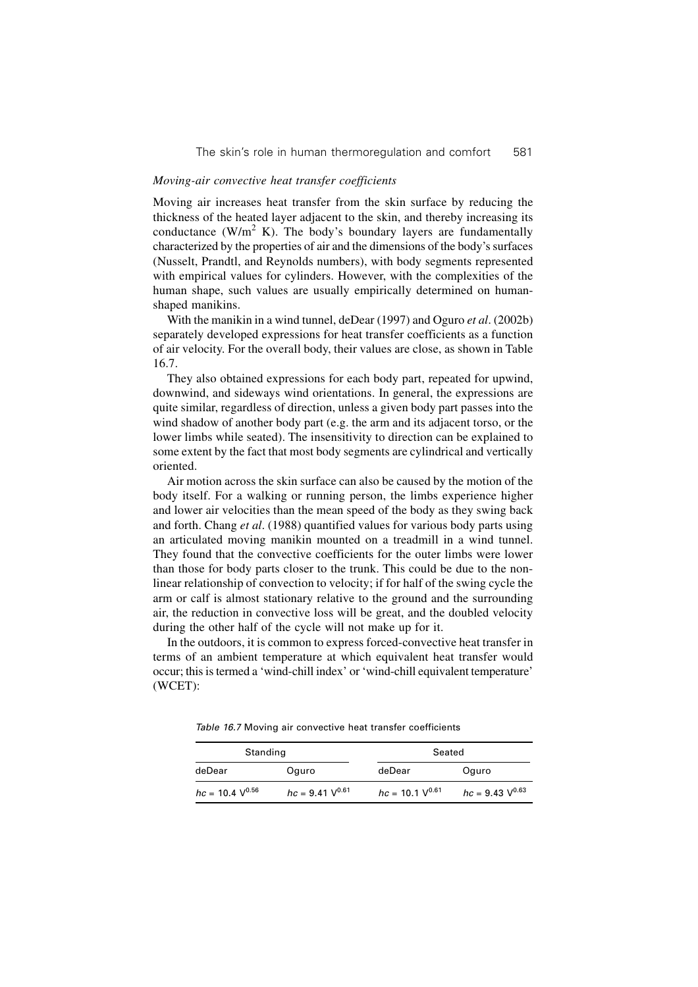#### *Moving-air convective heat transfer coefficients*

Moving air increases heat transfer from the skin surface by reducing the thickness of the heated layer adjacent to the skin, and thereby increasing its conductance (W/m<sup>2</sup> K). The body's boundary layers are fundamentally characterized by the properties of air and the dimensions of the body's surfaces (Nusselt, Prandtl, and Reynolds numbers), with body segments represented with empirical values for cylinders. However, with the complexities of the human shape, such values are usually empirically determined on humanshaped manikins.

With the manikin in a wind tunnel, deDear (1997) and Oguro *et al*. (2002b) separately developed expressions for heat transfer coefficients as a function of air velocity. For the overall body, their values are close, as shown in Table 16.7.

They also obtained expressions for each body part, repeated for upwind, downwind, and sideways wind orientations. In general, the expressions are quite similar, regardless of direction, unless a given body part passes into the wind shadow of another body part (e.g. the arm and its adjacent torso, or the lower limbs while seated). The insensitivity to direction can be explained to some extent by the fact that most body segments are cylindrical and vertically oriented.

Air motion across the skin surface can also be caused by the motion of the body itself. For a walking or running person, the limbs experience higher and lower air velocities than the mean speed of the body as they swing back and forth. Chang *et al*. (1988) quantified values for various body parts using an articulated moving manikin mounted on a treadmill in a wind tunnel. They found that the convective coefficients for the outer limbs were lower than those for body parts closer to the trunk. This could be due to the nonlinear relationship of convection to velocity; if for half of the swing cycle the arm or calf is almost stationary relative to the ground and the surrounding air, the reduction in convective loss will be great, and the doubled velocity during the other half of the cycle will not make up for it.

In the outdoors, it is common to express forced-convective heat transfer in terms of an ambient temperature at which equivalent heat transfer would occur; this is termed a 'wind-chill index' or 'wind-chill equivalent temperature' (WCET):

| Standing             |                      | Seated               |                      |
|----------------------|----------------------|----------------------|----------------------|
| deDear               | Oguro                | deDear               | Oguro                |
| $hc = 10.4 V^{0.56}$ | $hc = 9.41 V^{0.61}$ | $hc = 10.1 V^{0.61}$ | $hc = 9.43 V^{0.63}$ |

Table 16.7 Moving air convective heat transfer coefficients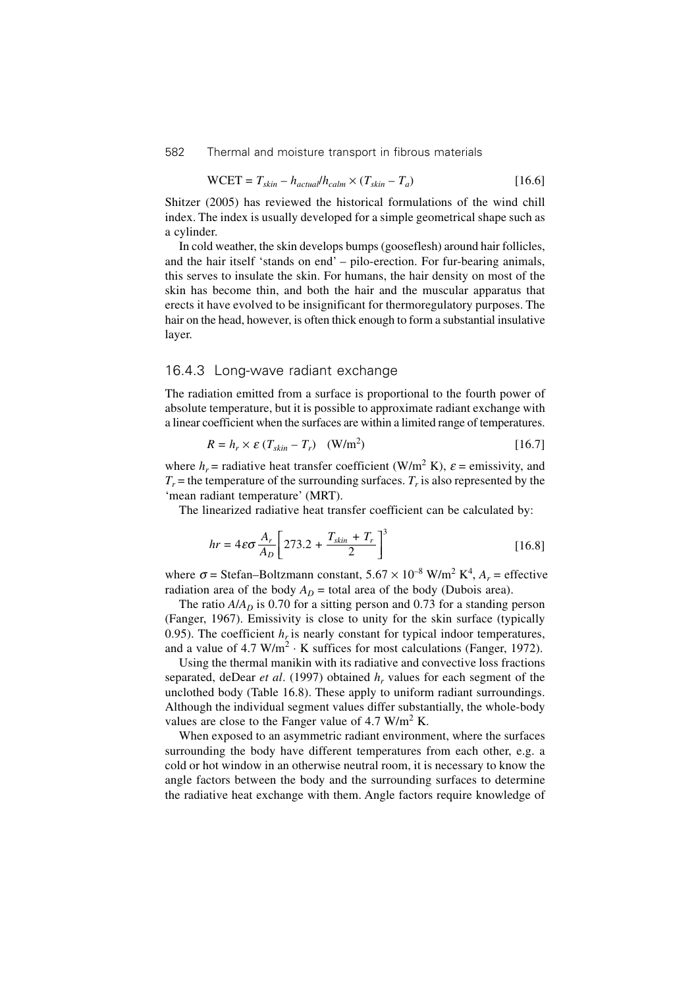$$
WCET = T_{skin} - h_{actual} / h_{calm} \times (T_{skin} - T_a)
$$
 [16.6]

Shitzer (2005) has reviewed the historical formulations of the wind chill index. The index is usually developed for a simple geometrical shape such as a cylinder.

In cold weather, the skin develops bumps (gooseflesh) around hair follicles, and the hair itself 'stands on end' – pilo-erection. For fur-bearing animals, this serves to insulate the skin. For humans, the hair density on most of the skin has become thin, and both the hair and the muscular apparatus that erects it have evolved to be insignificant for thermoregulatory purposes. The hair on the head, however, is often thick enough to form a substantial insulative layer.

## 16.4.3 Long-wave radiant exchange

The radiation emitted from a surface is proportional to the fourth power of absolute temperature, but it is possible to approximate radiant exchange with a linear coefficient when the surfaces are within a limited range of temperatures.

$$
R = h_r \times \varepsilon (T_{skin} - T_r) \quad (W/m^2)
$$
 [16.7]

where  $h_r$  = radiative heat transfer coefficient (W/m<sup>2</sup> K),  $\varepsilon$  = emissivity, and  $T_r$  = the temperature of the surrounding surfaces.  $T_r$  is also represented by the 'mean radiant temperature' (MRT).

The linearized radiative heat transfer coefficient can be calculated by:

$$
hr = 4\epsilon\sigma \frac{A_r}{A_D} \left[ 273.2 + \frac{T_{skin} + T_r}{2} \right]^3
$$
 [16.8]

where  $\sigma$  = Stefan–Boltzmann constant,  $5.67 \times 10^{-8}$  W/m<sup>2</sup> K<sup>4</sup>,  $A_r$  = effective radiation area of the body  $A_D$  = total area of the body (Dubois area).

The ratio  $A/A<sub>D</sub>$  is 0.70 for a sitting person and 0.73 for a standing person (Fanger, 1967). Emissivity is close to unity for the skin surface (typically 0.95). The coefficient  $h_r$  is nearly constant for typical indoor temperatures, and a value of 4.7  $W/m^2 \cdot K$  suffices for most calculations (Fanger, 1972).

Using the thermal manikin with its radiative and convective loss fractions separated, deDear *et al*. (1997) obtained *h<sup>r</sup>* values for each segment of the unclothed body (Table 16.8). These apply to uniform radiant surroundings. Although the individual segment values differ substantially, the whole-body values are close to the Fanger value of  $4.7 \text{ W/m}^2 \text{ K}$ .

When exposed to an asymmetric radiant environment, where the surfaces surrounding the body have different temperatures from each other, e.g. a cold or hot window in an otherwise neutral room, it is necessary to know the angle factors between the body and the surrounding surfaces to determine the radiative heat exchange with them. Angle factors require knowledge of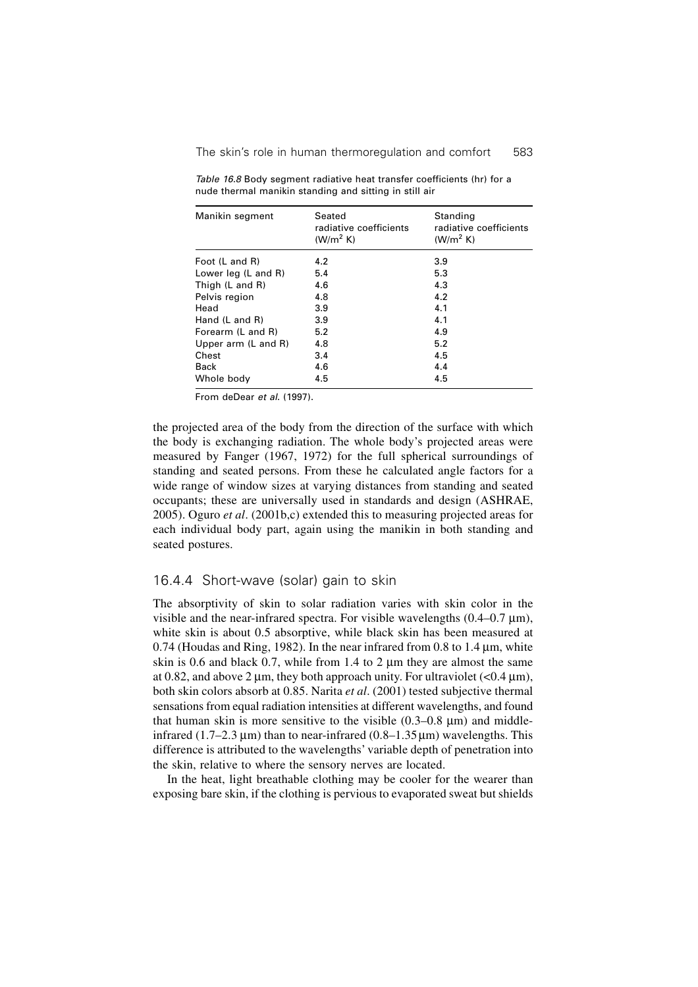| Manikin segment                | Seated<br>radiative coefficients<br>(W/m <sup>2</sup> K) | Standing<br>radiative coefficients<br>(W/m <sup>2</sup> K) |
|--------------------------------|----------------------------------------------------------|------------------------------------------------------------|
| Foot (L and R)                 | 4.2                                                      | 3.9                                                        |
| Lower $leg(L and R)$           | 5.4                                                      | 5.3                                                        |
| Thigh (L and R)                | 4.6                                                      | 4.3                                                        |
| Pelvis region                  | 4.8                                                      | 4.2                                                        |
| Head                           | 3.9                                                      | 4.1                                                        |
| Hand (L and R)                 | 3.9                                                      | 4.1                                                        |
| Forearm (L and R)              | 5.2                                                      | 4.9                                                        |
| Upper arm $(L \text{ and } R)$ | 4.8                                                      | 5.2                                                        |
| Chest                          | 3.4                                                      | 4.5                                                        |
| Back                           | 4.6                                                      | 4.4                                                        |
| Whole body                     | 4.5                                                      | 4.5                                                        |

Table 16.8 Body segment radiative heat transfer coefficients (hr) for a nude thermal manikin standing and sitting in still air

From deDear et al. (1997).

the projected area of the body from the direction of the surface with which the body is exchanging radiation. The whole body's projected areas were measured by Fanger (1967, 1972) for the full spherical surroundings of standing and seated persons. From these he calculated angle factors for a wide range of window sizes at varying distances from standing and seated occupants; these are universally used in standards and design (ASHRAE, 2005). Oguro *et al*. (2001b,c) extended this to measuring projected areas for each individual body part, again using the manikin in both standing and seated postures.

## 16.4.4 Short-wave (solar) gain to skin

The absorptivity of skin to solar radiation varies with skin color in the visible and the near-infrared spectra. For visible wavelengths  $(0.4-0.7 \text{ }\mu\text{m})$ , white skin is about 0.5 absorptive, while black skin has been measured at 0.74 (Houdas and Ring, 1982). In the near infrared from 0.8 to 1.4  $\mu$ m, white skin is 0.6 and black 0.7, while from 1.4 to 2  $\mu$ m they are almost the same at 0.82, and above 2  $\mu$ m, they both approach unity. For ultraviolet (<0.4  $\mu$ m), both skin colors absorb at 0.85. Narita *et al*. (2001) tested subjective thermal sensations from equal radiation intensities at different wavelengths, and found that human skin is more sensitive to the visible  $(0.3-0.8 \text{ }\mu\text{m})$  and middleinfrared  $(1.7-2.3 \text{ }\mu\text{m})$  than to near-infrared  $(0.8-1.35 \text{ }\mu\text{m})$  wavelengths. This difference is attributed to the wavelengths' variable depth of penetration into the skin, relative to where the sensory nerves are located.

In the heat, light breathable clothing may be cooler for the wearer than exposing bare skin, if the clothing is pervious to evaporated sweat but shields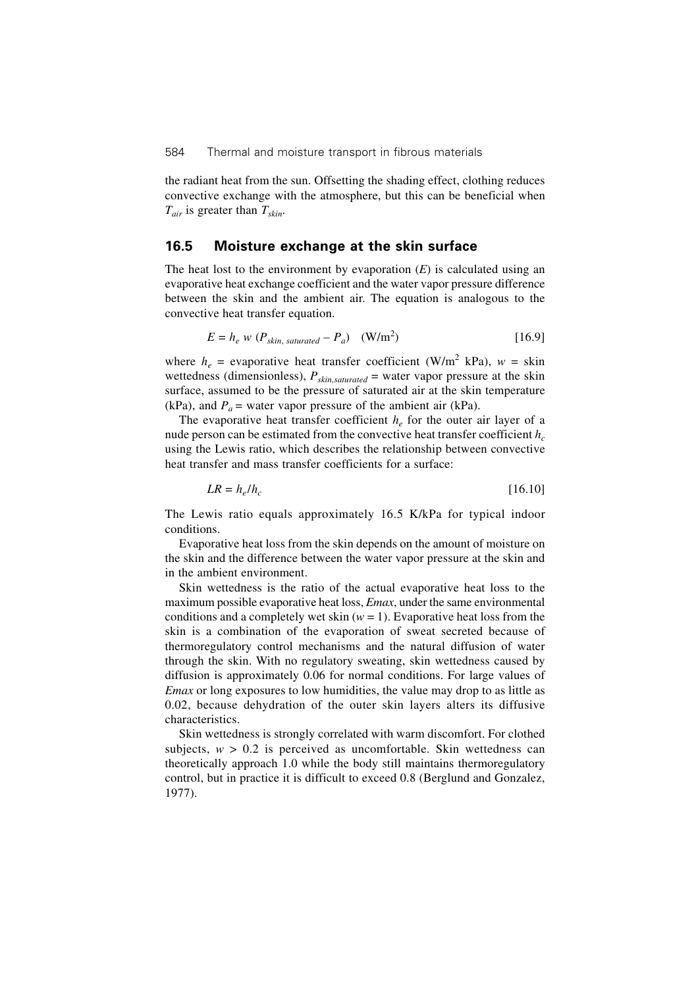the radiant heat from the sun. Offsetting the shading effect, clothing reduces convective exchange with the atmosphere, but this can be beneficial when *Tair* is greater than *Tskin*.

## **16.5 Moisture exchange at the skin surface**

The heat lost to the environment by evaporation  $(E)$  is calculated using an evaporative heat exchange coefficient and the water vapor pressure difference between the skin and the ambient air. The equation is analogous to the convective heat transfer equation.

$$
E = h_e \, w \, (P_{\text{skin, saturated}} - P_a) \, (W/m^2) \tag{16.9}
$$

where  $h_e$  = evaporative heat transfer coefficient (W/m<sup>2</sup> kPa),  $w =$  skin wettedness (dimensionless),  $P_{\text{skin,saturated}}$  = water vapor pressure at the skin surface, assumed to be the pressure of saturated air at the skin temperature (kPa), and  $P_a$  = water vapor pressure of the ambient air (kPa).

The evaporative heat transfer coefficient  $h_e$  for the outer air layer of a nude person can be estimated from the convective heat transfer coefficient *h<sup>c</sup>* using the Lewis ratio, which describes the relationship between convective heat transfer and mass transfer coefficients for a surface:

$$
LR = h_e / h_c \tag{16.10}
$$

The Lewis ratio equals approximately 16.5 K/kPa for typical indoor conditions.

Evaporative heat loss from the skin depends on the amount of moisture on the skin and the difference between the water vapor pressure at the skin and in the ambient environment.

Skin wettedness is the ratio of the actual evaporative heat loss to the maximum possible evaporative heat loss, *Emax*, under the same environmental conditions and a completely wet skin  $(w = 1)$ . Evaporative heat loss from the skin is a combination of the evaporation of sweat secreted because of thermoregulatory control mechanisms and the natural diffusion of water through the skin. With no regulatory sweating, skin wettedness caused by diffusion is approximately 0.06 for normal conditions. For large values of *Emax* or long exposures to low humidities, the value may drop to as little as 0.02, because dehydration of the outer skin layers alters its diffusive characteristics.

Skin wettedness is strongly correlated with warm discomfort. For clothed subjects,  $w > 0.2$  is perceived as uncomfortable. Skin wettedness can theoretically approach 1.0 while the body still maintains thermoregulatory control, but in practice it is difficult to exceed 0.8 (Berglund and Gonzalez, 1977).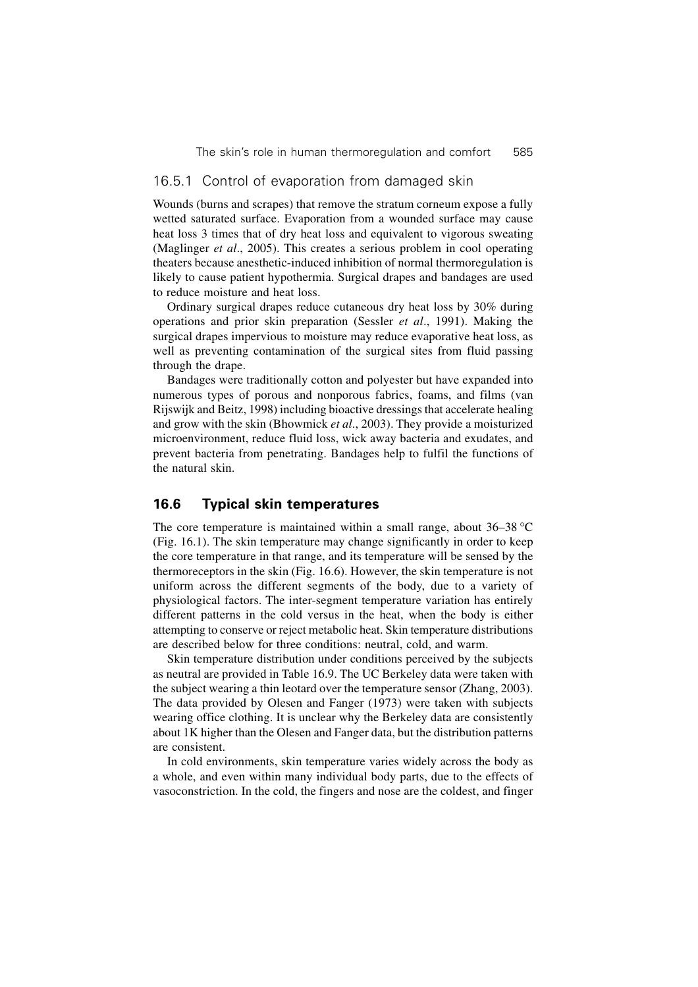## 16.5.1 Control of evaporation from damaged skin

Wounds (burns and scrapes) that remove the stratum corneum expose a fully wetted saturated surface. Evaporation from a wounded surface may cause heat loss 3 times that of dry heat loss and equivalent to vigorous sweating (Maglinger *et al*., 2005). This creates a serious problem in cool operating theaters because anesthetic-induced inhibition of normal thermoregulation is likely to cause patient hypothermia. Surgical drapes and bandages are used to reduce moisture and heat loss.

Ordinary surgical drapes reduce cutaneous dry heat loss by 30% during operations and prior skin preparation (Sessler *et al*., 1991). Making the surgical drapes impervious to moisture may reduce evaporative heat loss, as well as preventing contamination of the surgical sites from fluid passing through the drape.

Bandages were traditionally cotton and polyester but have expanded into numerous types of porous and nonporous fabrics, foams, and films (van Rijswijk and Beitz, 1998) including bioactive dressings that accelerate healing and grow with the skin (Bhowmick *et al*., 2003). They provide a moisturized microenvironment, reduce fluid loss, wick away bacteria and exudates, and prevent bacteria from penetrating. Bandages help to fulfil the functions of the natural skin.

## **16.6 Typical skin temperatures**

The core temperature is maintained within a small range, about 36–38 °C (Fig. 16.1). The skin temperature may change significantly in order to keep the core temperature in that range, and its temperature will be sensed by the thermoreceptors in the skin (Fig. 16.6). However, the skin temperature is not uniform across the different segments of the body, due to a variety of physiological factors. The inter-segment temperature variation has entirely different patterns in the cold versus in the heat, when the body is either attempting to conserve or reject metabolic heat. Skin temperature distributions are described below for three conditions: neutral, cold, and warm.

Skin temperature distribution under conditions perceived by the subjects as neutral are provided in Table 16.9. The UC Berkeley data were taken with the subject wearing a thin leotard over the temperature sensor (Zhang, 2003). The data provided by Olesen and Fanger (1973) were taken with subjects wearing office clothing. It is unclear why the Berkeley data are consistently about 1K higher than the Olesen and Fanger data, but the distribution patterns are consistent.

In cold environments, skin temperature varies widely across the body as a whole, and even within many individual body parts, due to the effects of vasoconstriction. In the cold, the fingers and nose are the coldest, and finger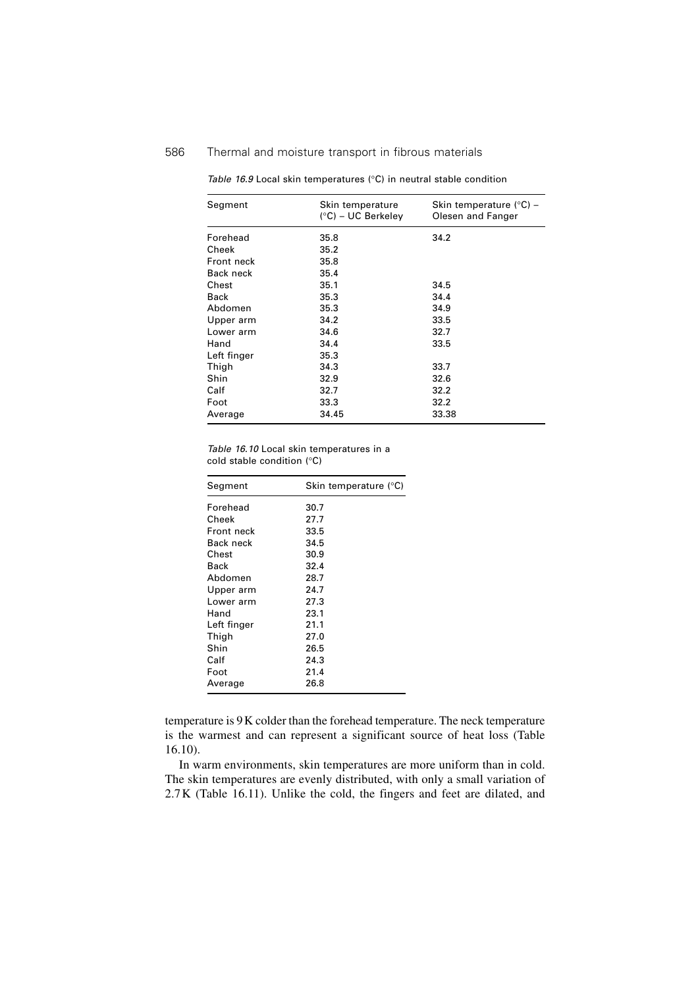| Segment     | Skin temperature<br>$(°C)$ – UC Berkeley | Skin temperature $(^{\circ}C)$ –<br>Olesen and Fanger |
|-------------|------------------------------------------|-------------------------------------------------------|
| Forehead    | 35.8                                     | 34.2                                                  |
| Cheek       | 35.2                                     |                                                       |
| Front neck  | 35.8                                     |                                                       |
| Back neck   | 35.4                                     |                                                       |
| Chest       | 35.1                                     | 34.5                                                  |
| Back        | 35.3                                     | 34.4                                                  |
| Abdomen     | 35.3                                     | 34.9                                                  |
| Upper arm   | 34.2                                     | 33.5                                                  |
| Lower arm   | 34.6                                     | 32.7                                                  |
| Hand        | 34.4                                     | 33.5                                                  |
| Left finger | 35.3                                     |                                                       |
| Thigh       | 34.3                                     | 33.7                                                  |
| Shin        | 32.9                                     | 32.6                                                  |
| Calf        | 32.7                                     | 32.2                                                  |
| Foot        | 33.3                                     | 32.2                                                  |
| Average     | 34.45                                    | 33.38                                                 |

Table 16.9 Local skin temperatures ( $^{\circ}$ C) in neutral stable condition

Table 16.10 Local skin temperatures in a cold stable condition (°C)

| Segment     | Skin temperature $(°C)$ |
|-------------|-------------------------|
| Forehead    | 30.7                    |
| Cheek       | 27.7                    |
| Front neck  | 33.5                    |
| Back neck   | 34.5                    |
| Chest       | 30.9                    |
| Back        | 32.4                    |
| Abdomen     | 28.7                    |
| Upper arm   | 24.7                    |
| Lower arm   | 27.3                    |
| Hand        | 23.1                    |
| Left finger | 21.1                    |
| Thigh       | 27.0                    |
| Shin        | 26.5                    |
| Calf        | 24.3                    |
| Foot        | 21.4                    |
| Average     | 26.8                    |

temperature is 9K colder than the forehead temperature. The neck temperature is the warmest and can represent a significant source of heat loss (Table 16.10).

In warm environments, skin temperatures are more uniform than in cold. The skin temperatures are evenly distributed, with only a small variation of 2.7K (Table 16.11). Unlike the cold, the fingers and feet are dilated, and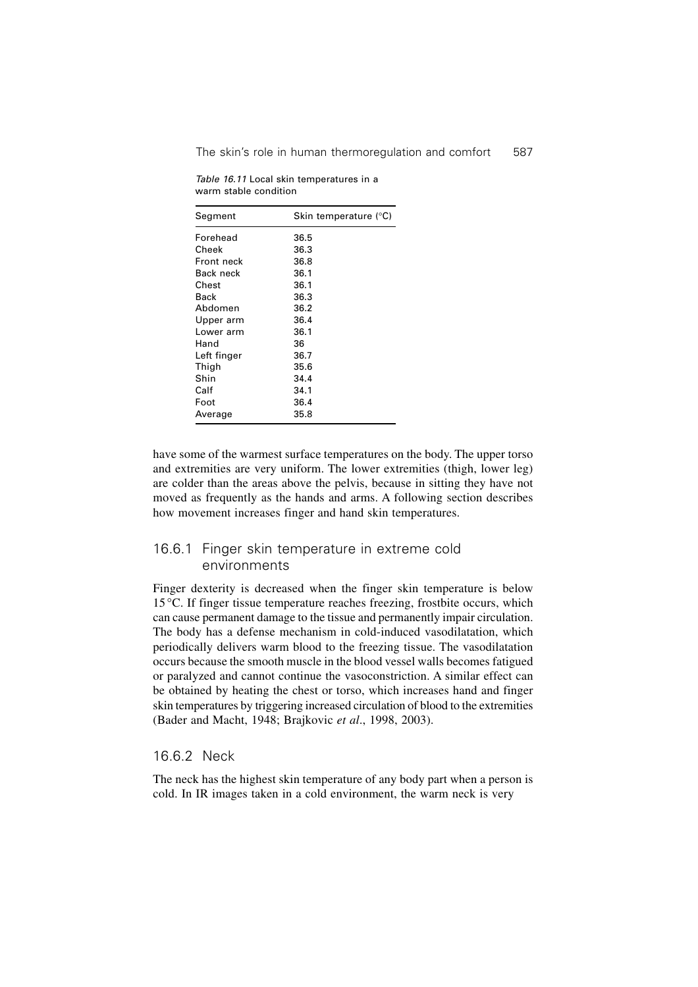| Segment     | Skin temperature (°C) |
|-------------|-----------------------|
| Forehead    | 36.5                  |
| Cheek       | 36.3                  |
| Front neck  | 36.8                  |
| Back neck   | 36.1                  |
| Chest       | 36.1                  |
| Back        | 36.3                  |
| Abdomen     | 36.2                  |
| Upper arm   | 36.4                  |
| Lower arm   | 36.1                  |
| Hand        | 36                    |
| Left finger | 36.7                  |
| Thigh       | 35.6                  |
| Shin        | 34.4                  |
| Calf        | 34.1                  |
| Foot        | 36.4                  |
| Average     | 35.8                  |

Table 16.11 Local skin temperatures in a warm stable condition

have some of the warmest surface temperatures on the body. The upper torso and extremities are very uniform. The lower extremities (thigh, lower leg) are colder than the areas above the pelvis, because in sitting they have not moved as frequently as the hands and arms. A following section describes how movement increases finger and hand skin temperatures.

## 16.6.1 Finger skin temperature in extreme cold environments

Finger dexterity is decreased when the finger skin temperature is below 15 °C. If finger tissue temperature reaches freezing, frostbite occurs, which can cause permanent damage to the tissue and permanently impair circulation. The body has a defense mechanism in cold-induced vasodilatation, which periodically delivers warm blood to the freezing tissue. The vasodilatation occurs because the smooth muscle in the blood vessel walls becomes fatigued or paralyzed and cannot continue the vasoconstriction. A similar effect can be obtained by heating the chest or torso, which increases hand and finger skin temperatures by triggering increased circulation of blood to the extremities (Bader and Macht, 1948; Brajkovic *et al*., 1998, 2003).

## 16.6.2 Neck

The neck has the highest skin temperature of any body part when a person is cold. In IR images taken in a cold environment, the warm neck is very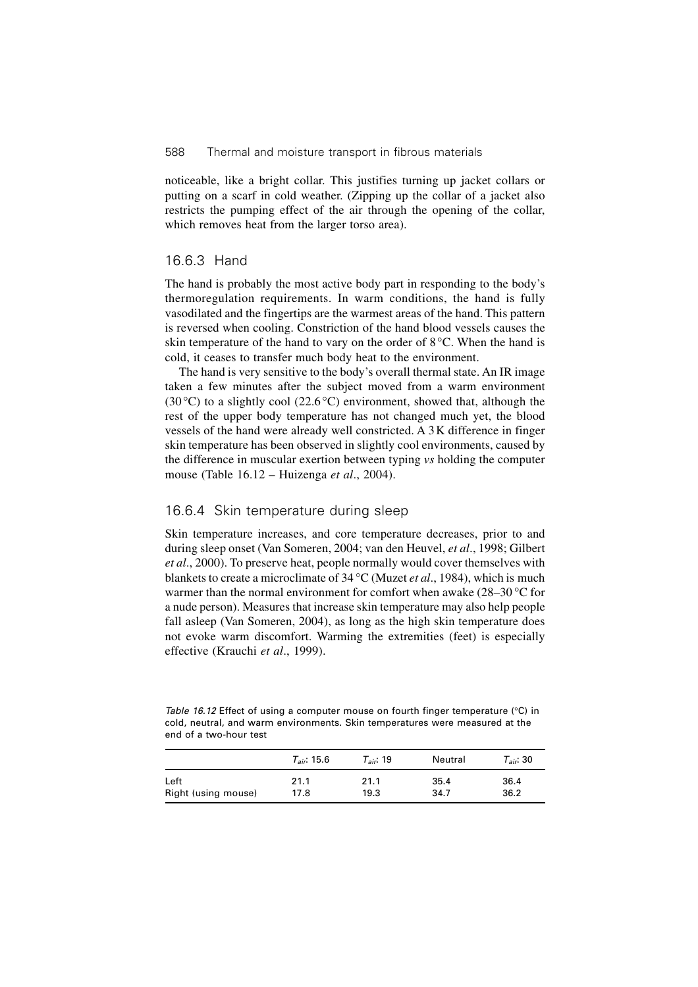noticeable, like a bright collar. This justifies turning up jacket collars or putting on a scarf in cold weather. (Zipping up the collar of a jacket also restricts the pumping effect of the air through the opening of the collar, which removes heat from the larger torso area).

## 16.6.3 Hand

The hand is probably the most active body part in responding to the body's thermoregulation requirements. In warm conditions, the hand is fully vasodilated and the fingertips are the warmest areas of the hand. This pattern is reversed when cooling. Constriction of the hand blood vessels causes the skin temperature of the hand to vary on the order of  $8^{\circ}$ C. When the hand is cold, it ceases to transfer much body heat to the environment.

The hand is very sensitive to the body's overall thermal state. An IR image taken a few minutes after the subject moved from a warm environment (30 °C) to a slightly cool (22.6 °C) environment, showed that, although the rest of the upper body temperature has not changed much yet, the blood vessels of the hand were already well constricted. A 3K difference in finger skin temperature has been observed in slightly cool environments, caused by the difference in muscular exertion between typing *vs* holding the computer mouse (Table 16.12 – Huizenga *et al*., 2004).

## 16.6.4 Skin temperature during sleep

Skin temperature increases, and core temperature decreases, prior to and during sleep onset (Van Someren, 2004; van den Heuvel, *et al*., 1998; Gilbert *et al*., 2000). To preserve heat, people normally would cover themselves with blankets to create a microclimate of 34 °C (Muzet *et al*., 1984), which is much warmer than the normal environment for comfort when awake (28–30 °C for a nude person). Measures that increase skin temperature may also help people fall asleep (Van Someren, 2004), as long as the high skin temperature does not evoke warm discomfort. Warming the extremities (feet) is especially effective (Krauchi *et al*., 1999).

Table 16.12 Effect of using a computer mouse on fourth finger temperature ( $\degree$ C) in cold, neutral, and warm environments. Skin temperatures were measured at the end of a two-hour test

|                     | $T_{air}$ 15.6 | $T_{air}$ 19 | Neutral | $T_{air}$ : 30 |
|---------------------|----------------|--------------|---------|----------------|
| Left                | 21.1           | 21.1         | 35.4    | 36.4           |
| Right (using mouse) | 17.8           | 19.3         | 34.7    | 36.2           |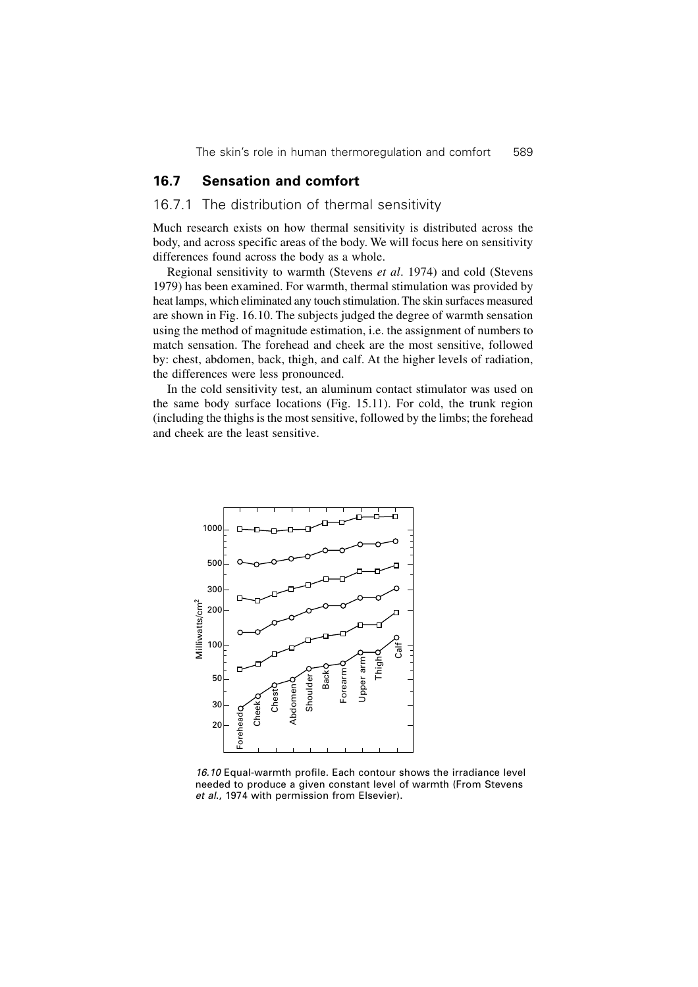## **16.7 Sensation and comfort**

## 16.7.1 The distribution of thermal sensitivity

Much research exists on how thermal sensitivity is distributed across the body, and across specific areas of the body. We will focus here on sensitivity differences found across the body as a whole.

Regional sensitivity to warmth (Stevens *et al*. 1974) and cold (Stevens 1979) has been examined. For warmth, thermal stimulation was provided by heat lamps, which eliminated any touch stimulation. The skin surfaces measured are shown in Fig. 16.10. The subjects judged the degree of warmth sensation using the method of magnitude estimation, i.e. the assignment of numbers to match sensation. The forehead and cheek are the most sensitive, followed by: chest, abdomen, back, thigh, and calf. At the higher levels of radiation, the differences were less pronounced.

In the cold sensitivity test, an aluminum contact stimulator was used on the same body surface locations (Fig. 15.11). For cold, the trunk region (including the thighs is the most sensitive, followed by the limbs; the forehead and cheek are the least sensitive.



16.10 Equal-warmth profile. Each contour shows the irradiance level needed to produce a given constant level of warmth (From Stevens et al., 1974 with permission from Elsevier).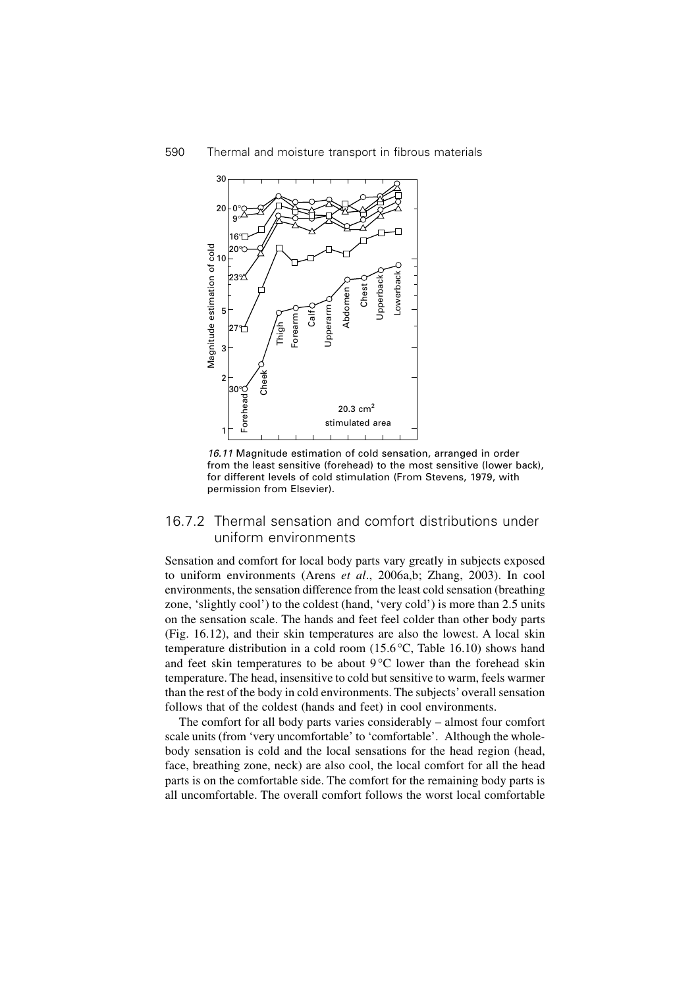

16.11 Magnitude estimation of cold sensation, arranged in order from the least sensitive (forehead) to the most sensitive (lower back), for different levels of cold stimulation (From Stevens, 1979, with permission from Elsevier).

## 16.7.2 Thermal sensation and comfort distributions under uniform environments

Sensation and comfort for local body parts vary greatly in subjects exposed to uniform environments (Arens *et al*., 2006a,b; Zhang, 2003). In cool environments, the sensation difference from the least cold sensation (breathing zone, 'slightly cool') to the coldest (hand, 'very cold') is more than 2.5 units on the sensation scale. The hands and feet feel colder than other body parts (Fig. 16.12), and their skin temperatures are also the lowest. A local skin temperature distribution in a cold room (15.6 °C, Table 16.10) shows hand and feet skin temperatures to be about  $9^{\circ}$ C lower than the forehead skin temperature. The head, insensitive to cold but sensitive to warm, feels warmer than the rest of the body in cold environments. The subjects' overall sensation follows that of the coldest (hands and feet) in cool environments.

The comfort for all body parts varies considerably – almost four comfort scale units (from 'very uncomfortable' to 'comfortable'. Although the wholebody sensation is cold and the local sensations for the head region (head, face, breathing zone, neck) are also cool, the local comfort for all the head parts is on the comfortable side. The comfort for the remaining body parts is all uncomfortable. The overall comfort follows the worst local comfortable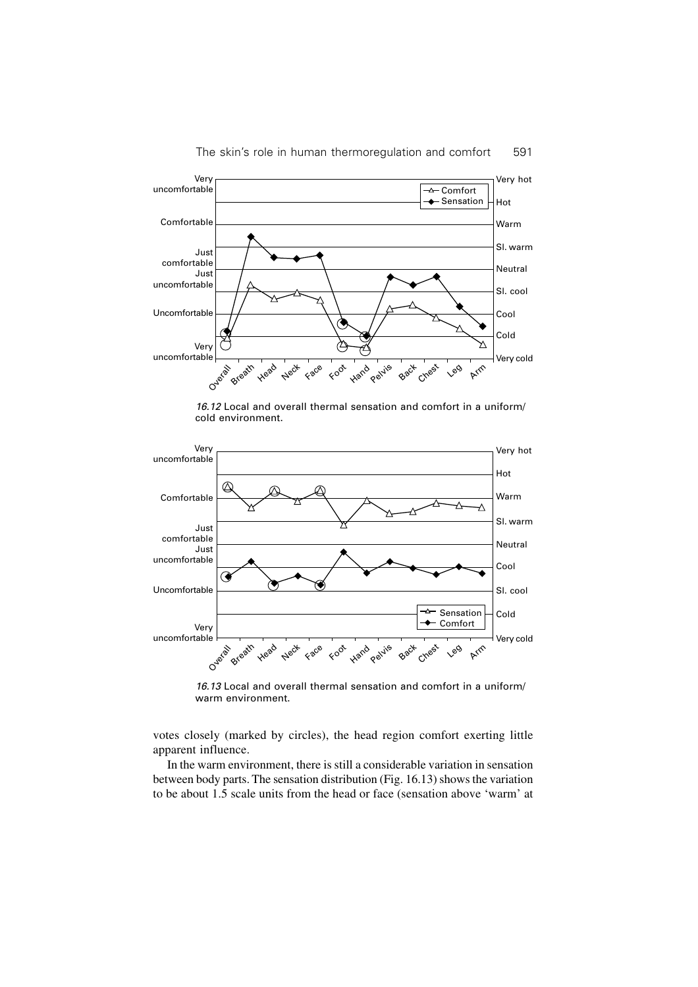

16.12 Local and overall thermal sensation and comfort in a uniform/ cold environment.

![](_page_32_Figure_3.jpeg)

16.13 Local and overall thermal sensation and comfort in a uniform/ warm environment.

votes closely (marked by circles), the head region comfort exerting little apparent influence.

In the warm environment, there is still a considerable variation in sensation between body parts. The sensation distribution (Fig. 16.13) shows the variation to be about 1.5 scale units from the head or face (sensation above 'warm' at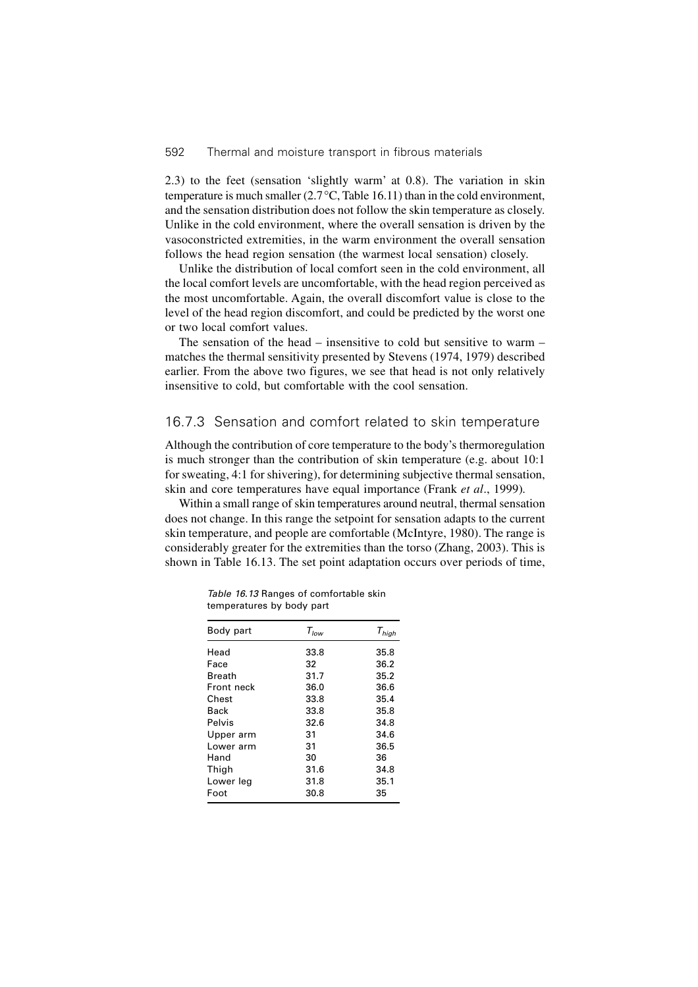2.3) to the feet (sensation 'slightly warm' at 0.8). The variation in skin temperature is much smaller  $(2.7^{\circ}C,$  Table 16.11) than in the cold environment, and the sensation distribution does not follow the skin temperature as closely. Unlike in the cold environment, where the overall sensation is driven by the vasoconstricted extremities, in the warm environment the overall sensation follows the head region sensation (the warmest local sensation) closely.

Unlike the distribution of local comfort seen in the cold environment, all the local comfort levels are uncomfortable, with the head region perceived as the most uncomfortable. Again, the overall discomfort value is close to the level of the head region discomfort, and could be predicted by the worst one or two local comfort values.

The sensation of the head – insensitive to cold but sensitive to warm – matches the thermal sensitivity presented by Stevens (1974, 1979) described earlier. From the above two figures, we see that head is not only relatively insensitive to cold, but comfortable with the cool sensation.

## 16.7.3 Sensation and comfort related to skin temperature

Although the contribution of core temperature to the body's thermoregulation is much stronger than the contribution of skin temperature (e.g. about 10:1 for sweating, 4:1 for shivering), for determining subjective thermal sensation, skin and core temperatures have equal importance (Frank *et al*., 1999)*.*

Within a small range of skin temperatures around neutral, thermal sensation does not change. In this range the setpoint for sensation adapts to the current skin temperature, and people are comfortable (McIntyre, 1980). The range is considerably greater for the extremities than the torso (Zhang, 2003). This is shown in Table 16.13. The set point adaptation occurs over periods of time,

| Body part     | $T_{low}$ | $T_{high}$ |
|---------------|-----------|------------|
| Head          | 33.8      | 35.8       |
| Face          | 32        | 36.2       |
| <b>Breath</b> | 31.7      | 35.2       |
| Front neck    | 36.0      | 36.6       |
| Chest         | 33.8      | 35.4       |
| <b>Back</b>   | 33.8      | 35.8       |
| Pelvis        | 32.6      | 34.8       |
| Upper arm     | 31        | 34.6       |
| Lower arm     | 31        | 36.5       |
| Hand          | 30        | 36         |
| Thigh         | 31.6      | 34.8       |
| Lower leg     | 31.8      | 35.1       |
| Foot          | 30.8      | 35         |

Table 16.13 Ranges of comfortable skin temperatures by body part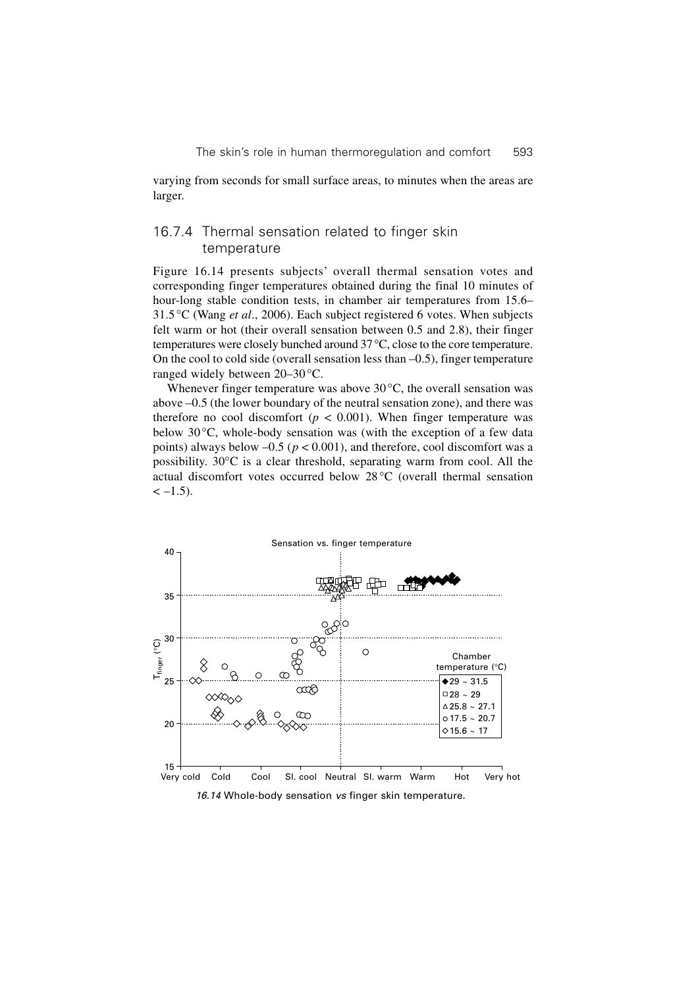varying from seconds for small surface areas, to minutes when the areas are larger.

## 16.7.4 Thermal sensation related to finger skin temperature

Figure 16.14 presents subjects' overall thermal sensation votes and corresponding finger temperatures obtained during the final 10 minutes of hour-long stable condition tests, in chamber air temperatures from 15.6– 31.5 °C (Wang *et al*., 2006). Each subject registered 6 votes. When subjects felt warm or hot (their overall sensation between 0.5 and 2.8), their finger temperatures were closely bunched around 37°C, close to the core temperature. On the cool to cold side (overall sensation less than –0.5), finger temperature ranged widely between 20–30 °C.

Whenever finger temperature was above  $30^{\circ}$ C, the overall sensation was above –0.5 (the lower boundary of the neutral sensation zone), and there was therefore no cool discomfort ( $p < 0.001$ ). When finger temperature was below 30°C, whole-body sensation was (with the exception of a few data points) always below  $-0.5$  ( $p < 0.001$ ), and therefore, cool discomfort was a possibility. 30°C is a clear threshold, separating warm from cool. All the actual discomfort votes occurred below 28 °C (overall thermal sensation  $<-1.5$ ).

![](_page_34_Figure_5.jpeg)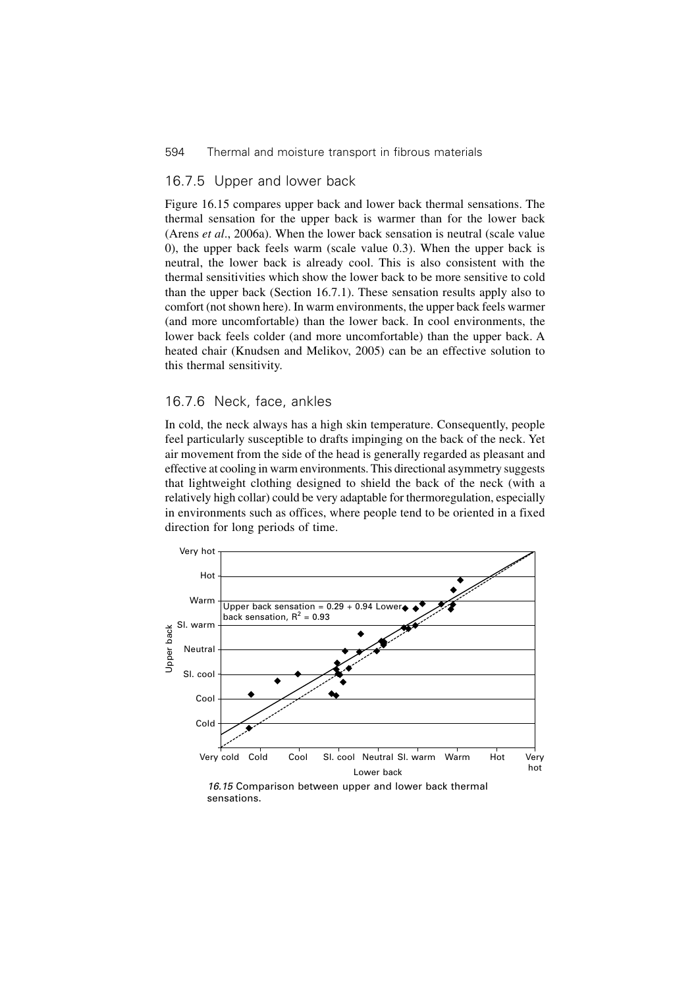## 16.7.5 Upper and lower back

Figure 16.15 compares upper back and lower back thermal sensations. The thermal sensation for the upper back is warmer than for the lower back (Arens *et al*., 2006a). When the lower back sensation is neutral (scale value 0), the upper back feels warm (scale value 0.3). When the upper back is neutral, the lower back is already cool. This is also consistent with the thermal sensitivities which show the lower back to be more sensitive to cold than the upper back (Section 16.7.1). These sensation results apply also to comfort (not shown here). In warm environments, the upper back feels warmer (and more uncomfortable) than the lower back. In cool environments, the lower back feels colder (and more uncomfortable) than the upper back. A heated chair (Knudsen and Melikov, 2005) can be an effective solution to this thermal sensitivity.

## 16.7.6 Neck, face, ankles

In cold, the neck always has a high skin temperature. Consequently, people feel particularly susceptible to drafts impinging on the back of the neck. Yet air movement from the side of the head is generally regarded as pleasant and effective at cooling in warm environments. This directional asymmetry suggests that lightweight clothing designed to shield the back of the neck (with a relatively high collar) could be very adaptable for thermoregulation, especially in environments such as offices, where people tend to be oriented in a fixed direction for long periods of time.

![](_page_35_Figure_5.jpeg)

16.15 Comparison between upper and lower back thermal sensations.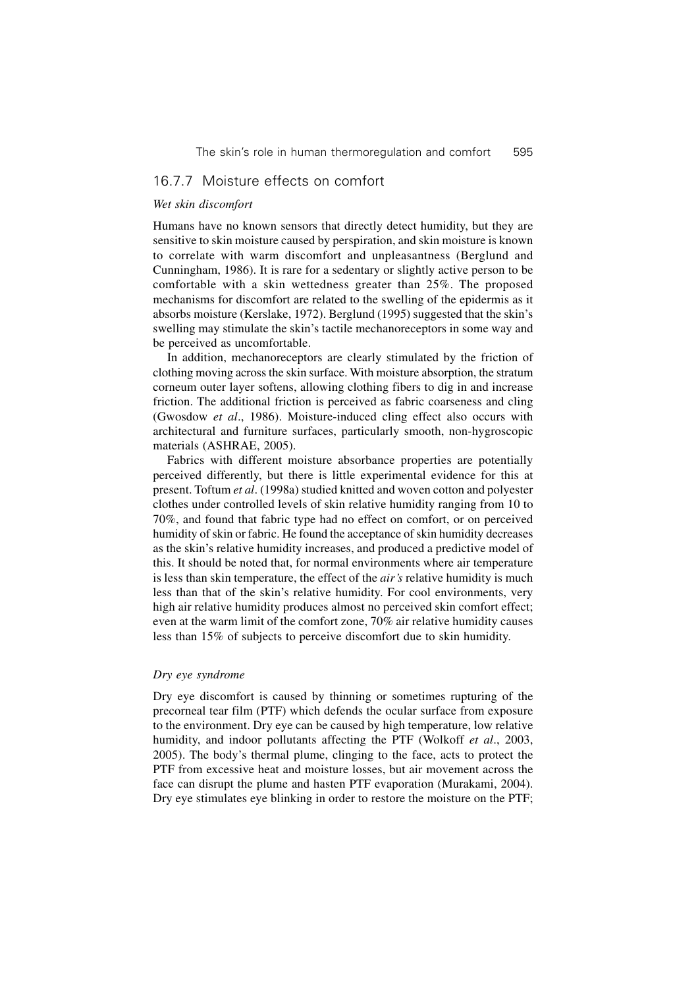## 16.7.7 Moisture effects on comfort

#### *Wet skin discomfort*

Humans have no known sensors that directly detect humidity, but they are sensitive to skin moisture caused by perspiration, and skin moisture is known to correlate with warm discomfort and unpleasantness (Berglund and Cunningham, 1986). It is rare for a sedentary or slightly active person to be comfortable with a skin wettedness greater than 25%. The proposed mechanisms for discomfort are related to the swelling of the epidermis as it absorbs moisture (Kerslake, 1972). Berglund (1995) suggested that the skin's swelling may stimulate the skin's tactile mechanoreceptors in some way and be perceived as uncomfortable.

In addition, mechanoreceptors are clearly stimulated by the friction of clothing moving across the skin surface. With moisture absorption, the stratum corneum outer layer softens, allowing clothing fibers to dig in and increase friction. The additional friction is perceived as fabric coarseness and cling (Gwosdow *et al*., 1986). Moisture-induced cling effect also occurs with architectural and furniture surfaces, particularly smooth, non-hygroscopic materials (ASHRAE, 2005).

Fabrics with different moisture absorbance properties are potentially perceived differently, but there is little experimental evidence for this at present. Toftum *et al*. (1998a) studied knitted and woven cotton and polyester clothes under controlled levels of skin relative humidity ranging from 10 to 70%, and found that fabric type had no effect on comfort, or on perceived humidity of skin or fabric. He found the acceptance of skin humidity decreases as the skin's relative humidity increases, and produced a predictive model of this. It should be noted that, for normal environments where air temperature is less than skin temperature, the effect of the *air's* relative humidity is much less than that of the skin's relative humidity. For cool environments, very high air relative humidity produces almost no perceived skin comfort effect; even at the warm limit of the comfort zone, 70% air relative humidity causes less than 15% of subjects to perceive discomfort due to skin humidity.

#### *Dry eye syndrome*

Dry eye discomfort is caused by thinning or sometimes rupturing of the precorneal tear film (PTF) which defends the ocular surface from exposure to the environment. Dry eye can be caused by high temperature, low relative humidity, and indoor pollutants affecting the PTF (Wolkoff *et al*., 2003, 2005). The body's thermal plume, clinging to the face, acts to protect the PTF from excessive heat and moisture losses, but air movement across the face can disrupt the plume and hasten PTF evaporation (Murakami, 2004). Dry eye stimulates eye blinking in order to restore the moisture on the PTF;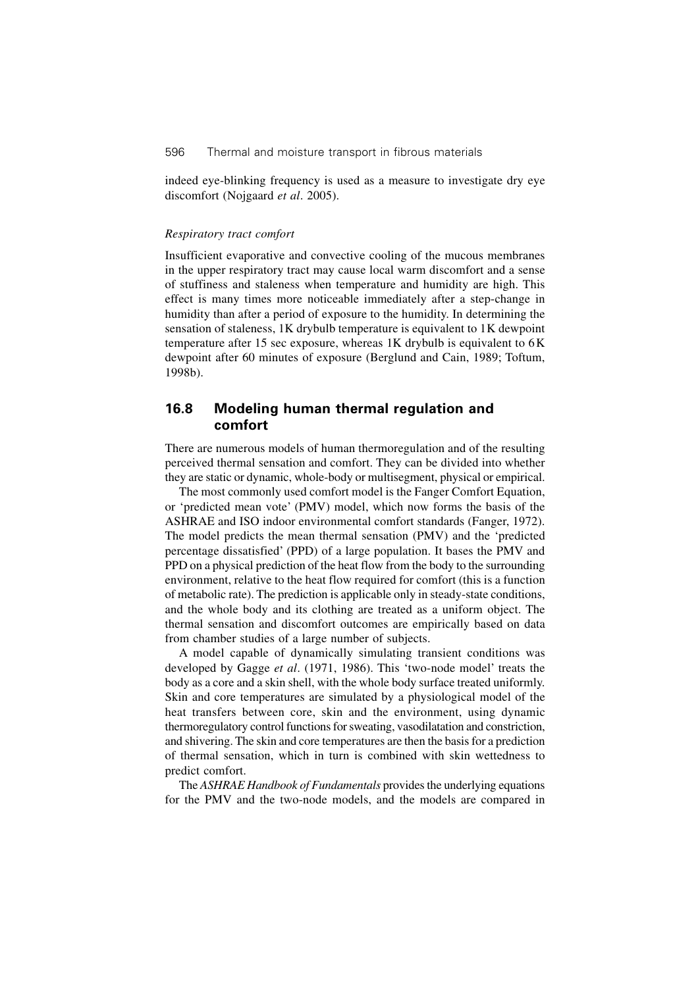indeed eye-blinking frequency is used as a measure to investigate dry eye discomfort (Nojgaard *et al*. 2005).

#### *Respiratory tract comfort*

Insufficient evaporative and convective cooling of the mucous membranes in the upper respiratory tract may cause local warm discomfort and a sense of stuffiness and staleness when temperature and humidity are high. This effect is many times more noticeable immediately after a step-change in humidity than after a period of exposure to the humidity. In determining the sensation of staleness, 1K drybulb temperature is equivalent to 1K dewpoint temperature after 15 sec exposure, whereas 1K drybulb is equivalent to 6K dewpoint after 60 minutes of exposure (Berglund and Cain, 1989; Toftum, 1998b).

## **16.8 Modeling human thermal regulation and comfort**

There are numerous models of human thermoregulation and of the resulting perceived thermal sensation and comfort. They can be divided into whether they are static or dynamic, whole-body or multisegment, physical or empirical.

The most commonly used comfort model is the Fanger Comfort Equation, or 'predicted mean vote' (PMV) model, which now forms the basis of the ASHRAE and ISO indoor environmental comfort standards (Fanger, 1972). The model predicts the mean thermal sensation (PMV) and the 'predicted percentage dissatisfied' (PPD) of a large population. It bases the PMV and PPD on a physical prediction of the heat flow from the body to the surrounding environment, relative to the heat flow required for comfort (this is a function of metabolic rate). The prediction is applicable only in steady-state conditions, and the whole body and its clothing are treated as a uniform object. The thermal sensation and discomfort outcomes are empirically based on data from chamber studies of a large number of subjects.

A model capable of dynamically simulating transient conditions was developed by Gagge *et al*. (1971, 1986). This 'two-node model' treats the body as a core and a skin shell, with the whole body surface treated uniformly. Skin and core temperatures are simulated by a physiological model of the heat transfers between core, skin and the environment, using dynamic thermoregulatory control functions for sweating, vasodilatation and constriction, and shivering. The skin and core temperatures are then the basis for a prediction of thermal sensation, which in turn is combined with skin wettedness to predict comfort.

The *ASHRAE Handbook of Fundamentals* provides the underlying equations for the PMV and the two-node models, and the models are compared in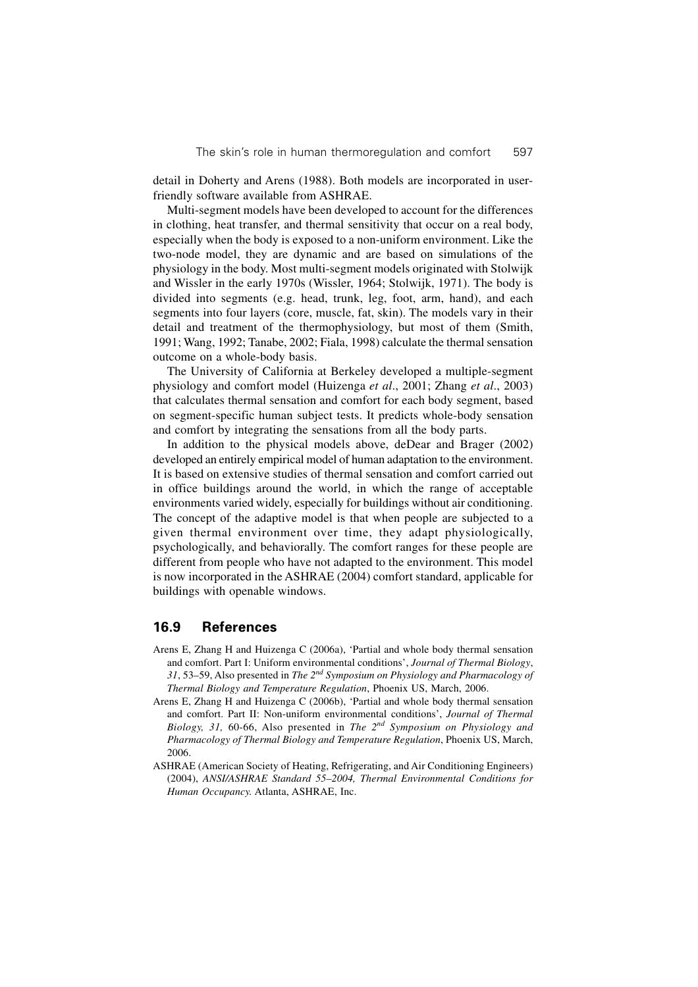detail in Doherty and Arens (1988). Both models are incorporated in userfriendly software available from ASHRAE.

Multi-segment models have been developed to account for the differences in clothing, heat transfer, and thermal sensitivity that occur on a real body, especially when the body is exposed to a non-uniform environment. Like the two-node model, they are dynamic and are based on simulations of the physiology in the body. Most multi-segment models originated with Stolwijk and Wissler in the early 1970s (Wissler, 1964; Stolwijk, 1971). The body is divided into segments (e.g. head, trunk, leg, foot, arm, hand), and each segments into four layers (core, muscle, fat, skin). The models vary in their detail and treatment of the thermophysiology, but most of them (Smith, 1991; Wang, 1992; Tanabe, 2002; Fiala, 1998) calculate the thermal sensation outcome on a whole-body basis.

The University of California at Berkeley developed a multiple-segment physiology and comfort model (Huizenga *et al*., 2001; Zhang *et al*., 2003) that calculates thermal sensation and comfort for each body segment, based on segment-specific human subject tests. It predicts whole-body sensation and comfort by integrating the sensations from all the body parts.

In addition to the physical models above, deDear and Brager (2002) developed an entirely empirical model of human adaptation to the environment. It is based on extensive studies of thermal sensation and comfort carried out in office buildings around the world, in which the range of acceptable environments varied widely, especially for buildings without air conditioning. The concept of the adaptive model is that when people are subjected to a given thermal environment over time, they adapt physiologically, psychologically, and behaviorally. The comfort ranges for these people are different from people who have not adapted to the environment. This model is now incorporated in the ASHRAE (2004) comfort standard, applicable for buildings with openable windows.

## **16.9 References**

- Arens E, Zhang H and Huizenga C (2006a), 'Partial and whole body thermal sensation and comfort. Part I: Uniform environmental conditions', *Journal of Thermal Biology*, *31*, 53–59, Also presented in *The 2nd Symposium on Physiology and Pharmacology of Thermal Biology and Temperature Regulation*, Phoenix US, March, 2006.
- Arens E, Zhang H and Huizenga C (2006b), 'Partial and whole body thermal sensation and comfort. Part II: Non-uniform environmental conditions', *Journal of Thermal Biology, 31,* 60-66, Also presented in *The 2nd Symposium on Physiology and Pharmacology of Thermal Biology and Temperature Regulation*, Phoenix US, March, 2006.
- ASHRAE (American Society of Heating, Refrigerating, and Air Conditioning Engineers) (2004), *ANSI/ASHRAE Standard 55–2004, Thermal Environmental Conditions for Human Occupancy.* Atlanta, ASHRAE, Inc.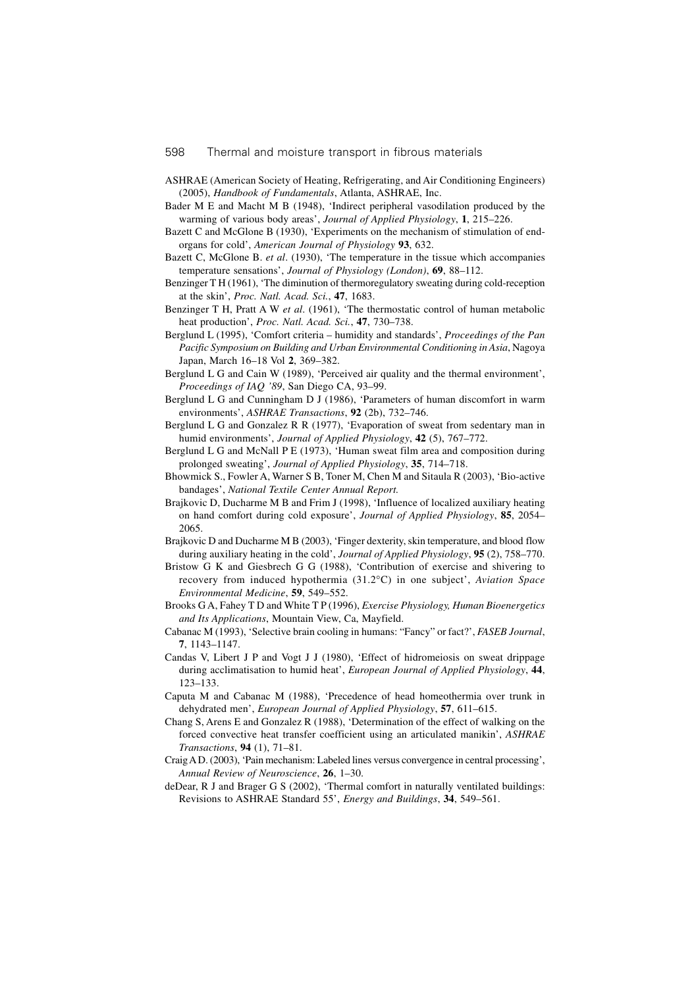- ASHRAE (American Society of Heating, Refrigerating, and Air Conditioning Engineers) (2005), *Handbook of Fundamentals*, Atlanta, ASHRAE, Inc.
- Bader M E and Macht M B (1948), 'Indirect peripheral vasodilation produced by the warming of various body areas', *Journal of Applied Physiology*, **1**, 215–226.
- Bazett C and McGlone B (1930), 'Experiments on the mechanism of stimulation of endorgans for cold', *American Journal of Physiology* **93**, 632.
- Bazett C, McGlone B. *et al*. (1930), 'The temperature in the tissue which accompanies temperature sensations', *Journal of Physiology (London)*, **69**, 88–112.
- Benzinger T H (1961), 'The diminution of thermoregulatory sweating during cold-reception at the skin', *Proc. Natl. Acad. Sci.*, **47**, 1683.
- Benzinger T H, Pratt A W *et al*. (1961), 'The thermostatic control of human metabolic heat production', *Proc. Natl. Acad. Sci.*, **47**, 730–738.
- Berglund L (1995), 'Comfort criteria humidity and standards', *Proceedings of the Pan Pacific Symposium on Building and Urban Environmental Conditioning in Asia*, Nagoya Japan, March 16–18 Vol **2**, 369–382.
- Berglund L G and Cain W (1989), 'Perceived air quality and the thermal environment', *Proceedings of IAQ '89*, San Diego CA, 93–99.
- Berglund L G and Cunningham D J (1986), 'Parameters of human discomfort in warm environments', *ASHRAE Transactions*, **92** (2b), 732–746.
- Berglund L G and Gonzalez R R (1977), 'Evaporation of sweat from sedentary man in humid environments', *Journal of Applied Physiology*, **42** (5), 767–772.
- Berglund L G and McNall P E (1973), 'Human sweat film area and composition during prolonged sweating', *Journal of Applied Physiology*, **35**, 714–718.
- Bhowmick S., Fowler A, Warner S B, Toner M, Chen M and Sitaula R (2003), 'Bio-active bandages', *National Textile Center Annual Report.*
- Brajkovic D, Ducharme M B and Frim J (1998), 'Influence of localized auxiliary heating on hand comfort during cold exposure', *Journal of Applied Physiology*, **85**, 2054– 2065.
- Brajkovic D and Ducharme M B (2003), 'Finger dexterity, skin temperature, and blood flow during auxiliary heating in the cold', *Journal of Applied Physiology*, **95** (2), 758–770.
- Bristow G K and Giesbrech G G (1988), 'Contribution of exercise and shivering to recovery from induced hypothermia (31.2°C) in one subject', *Aviation Space Environmental Medicine*, **59**, 549–552.
- Brooks G A, Fahey T D and White T P (1996), *Exercise Physiology, Human Bioenergetics and Its Applications*, Mountain View, Ca, Mayfield.
- Cabanac M (1993), 'Selective brain cooling in humans: "Fancy" or fact?', *FASEB Journal*, **7**, 1143–1147.
- Candas V, Libert J P and Vogt J J (1980), 'Effect of hidromeiosis on sweat drippage during acclimatisation to humid heat', *European Journal of Applied Physiology*, **44**, 123–133.
- Caputa M and Cabanac M (1988), 'Precedence of head homeothermia over trunk in dehydrated men', *European Journal of Applied Physiology*, **57**, 611–615.
- Chang S, Arens E and Gonzalez R (1988), 'Determination of the effect of walking on the forced convective heat transfer coefficient using an articulated manikin', *ASHRAE Transactions*, **94** (1), 71–81.
- Craig A D. (2003), 'Pain mechanism: Labeled lines versus convergence in central processing', *Annual Review of Neuroscience*, **26**, 1–30.
- deDear, R J and Brager G S (2002), 'Thermal comfort in naturally ventilated buildings: Revisions to ASHRAE Standard 55', *Energy and Buildings*, **34**, 549–561.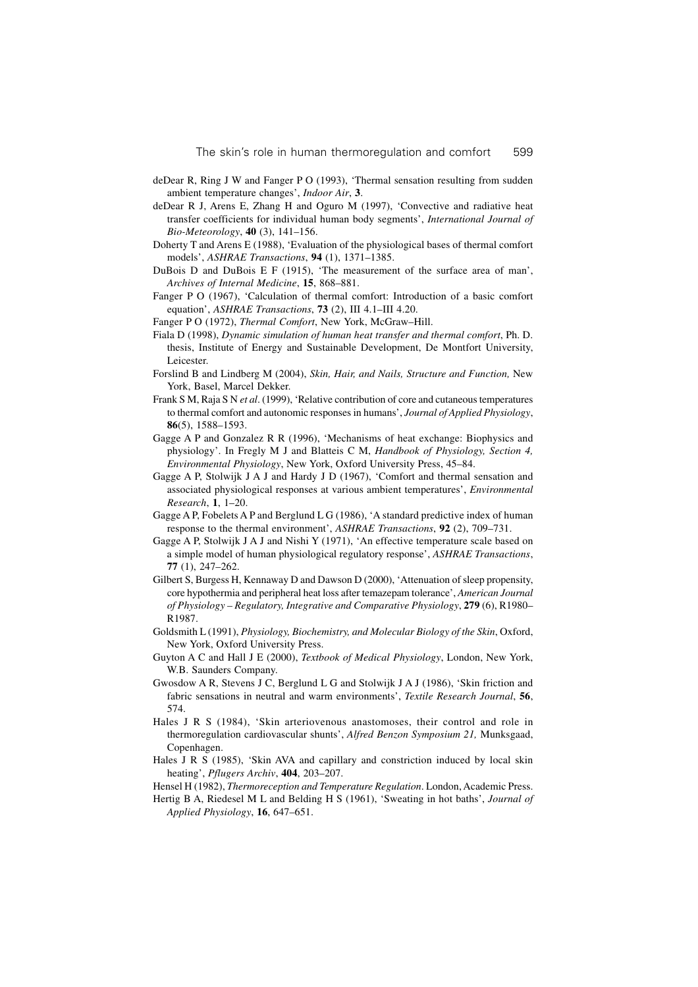- deDear R, Ring J W and Fanger P O (1993), 'Thermal sensation resulting from sudden ambient temperature changes', *Indoor Air*, **3**.
- deDear R J, Arens E, Zhang H and Oguro M (1997), 'Convective and radiative heat transfer coefficients for individual human body segments', *International Journal of Bio-Meteorology*, **40** (3), 141–156.
- Doherty T and Arens E (1988), 'Evaluation of the physiological bases of thermal comfort models', *ASHRAE Transactions*, **94** (1), 1371–1385.
- DuBois D and DuBois E F (1915), 'The measurement of the surface area of man', *Archives of Internal Medicine*, **15**, 868–881.
- Fanger P O (1967), 'Calculation of thermal comfort: Introduction of a basic comfort equation', *ASHRAE Transactions*, **73** (2), III 4.1–III 4.20.
- Fanger P O (1972), *Thermal Comfort*, New York, McGraw–Hill.
- Fiala D (1998), *Dynamic simulation of human heat transfer and thermal comfort*, Ph. D. thesis, Institute of Energy and Sustainable Development, De Montfort University, Leicester.
- Forslind B and Lindberg M (2004), *Skin, Hair, and Nails, Structure and Function,* New York, Basel, Marcel Dekker.
- Frank S M, Raja S N *et al*. (1999), 'Relative contribution of core and cutaneous temperatures to thermal comfort and autonomic responses in humans', *Journal of Applied Physiology*, **86**(5), 1588–1593.
- Gagge A P and Gonzalez R R (1996), 'Mechanisms of heat exchange: Biophysics and physiology'. In Fregly M J and Blatteis C M, *Handbook of Physiology, Section 4, Environmental Physiology*, New York, Oxford University Press, 45–84.
- Gagge A P, Stolwijk J A J and Hardy J D (1967), 'Comfort and thermal sensation and associated physiological responses at various ambient temperatures', *Environmental Research*, **1**, 1–20.
- Gagge A P, Fobelets A P and Berglund L G (1986), 'A standard predictive index of human response to the thermal environment', *ASHRAE Transactions*, **92** (2), 709–731.
- Gagge A P, Stolwijk J A J and Nishi Y (1971), 'An effective temperature scale based on a simple model of human physiological regulatory response', *ASHRAE Transactions*, **77** (1), 247–262.
- Gilbert S, Burgess H, Kennaway D and Dawson D (2000), 'Attenuation of sleep propensity, core hypothermia and peripheral heat loss after temazepam tolerance', *American Journal of Physiology – Regulatory, Integrative and Comparative Physiology*, **279** (6), R1980– R1987.
- Goldsmith L (1991), *Physiology, Biochemistry, and Molecular Biology of the Skin*, Oxford, New York, Oxford University Press.
- Guyton A C and Hall J E (2000), *Textbook of Medical Physiology*, London, New York, W.B. Saunders Company.
- Gwosdow A R, Stevens J C, Berglund L G and Stolwijk J A J (1986), 'Skin friction and fabric sensations in neutral and warm environments', *Textile Research Journal*, **56**, 574.
- Hales J R S (1984), 'Skin arteriovenous anastomoses, their control and role in thermoregulation cardiovascular shunts', *Alfred Benzon Symposium 21,* Munksgaad, Copenhagen.
- Hales J R S (1985), 'Skin AVA and capillary and constriction induced by local skin heating', *Pflugers Archiv*, **404**, 203–207.
- Hensel H (1982), *Thermoreception and Temperature Regulation*. London, Academic Press.
- Hertig B A, Riedesel M L and Belding H S (1961), 'Sweating in hot baths', *Journal of Applied Physiology*, **16**, 647–651.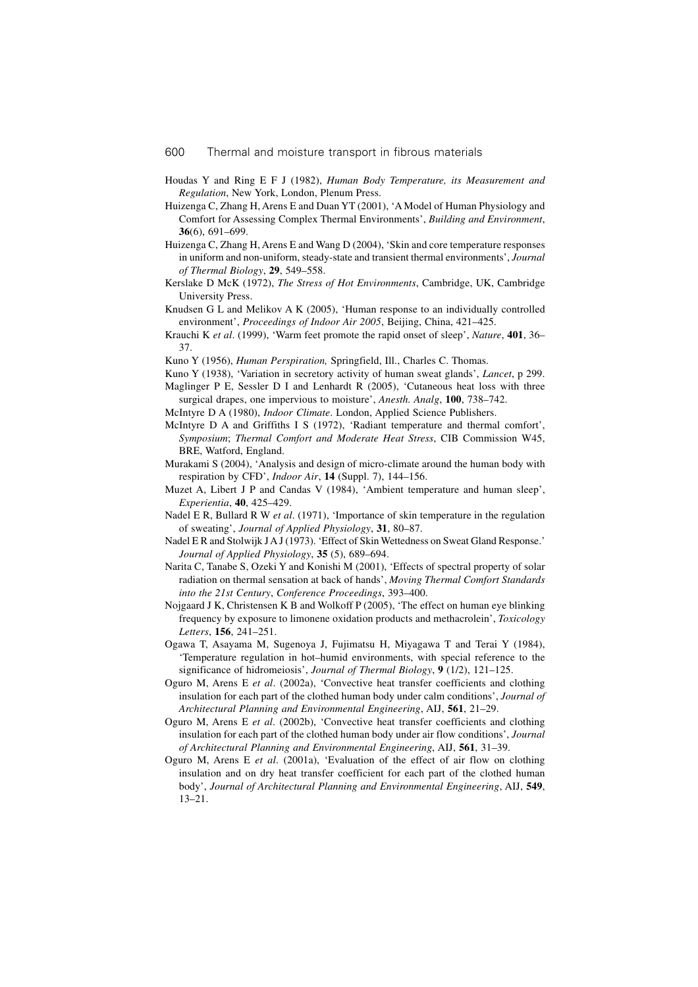- Houdas Y and Ring E F J (1982), *Human Body Temperature, its Measurement and Regulation*, New York, London, Plenum Press.
- Huizenga C, Zhang H, Arens E and Duan YT (2001), 'A Model of Human Physiology and Comfort for Assessing Complex Thermal Environments', *Building and Environment*, **36**(6), 691–699.
- Huizenga C, Zhang H, Arens E and Wang D (2004), 'Skin and core temperature responses in uniform and non-uniform, steady-state and transient thermal environments', *Journal of Thermal Biology*, **29**, 549–558.
- Kerslake D McK (1972), *The Stress of Hot Environments*, Cambridge, UK, Cambridge University Press.
- Knudsen G L and Melikov A K (2005), 'Human response to an individually controlled environment', *Proceedings of Indoor Air 2005*, Beijing, China, 421–425.
- Krauchi K *et al*. (1999), 'Warm feet promote the rapid onset of sleep', *Nature*, **401**, 36– 37.
- Kuno Y (1956), *Human Perspiration,* Springfield, Ill., Charles C. Thomas.
- Kuno Y (1938), 'Variation in secretory activity of human sweat glands', *Lancet*, p 299.
- Maglinger P E, Sessler D I and Lenhardt R (2005), 'Cutaneous heat loss with three surgical drapes, one impervious to moisture', *Anesth. Analg*, **100**, 738–742.
- McIntyre D A (1980), *Indoor Climate*. London, Applied Science Publishers.
- McIntyre D A and Griffiths I S (1972), 'Radiant temperature and thermal comfort', *Symposium*; *Thermal Comfort and Moderate Heat Stress*, CIB Commission W45, BRE, Watford, England.
- Murakami S (2004), 'Analysis and design of micro-climate around the human body with respiration by CFD', *Indoor Air*, **14** (Suppl. 7), 144–156.
- Muzet A, Libert J P and Candas V (1984), 'Ambient temperature and human sleep', *Experientia*, **40**, 425–429.
- Nadel E R, Bullard R W *et al*. (1971), 'Importance of skin temperature in the regulation of sweating', *Journal of Applied Physiology*, **31**, 80–87.
- Nadel E R and Stolwijk J A J (1973). 'Effect of Skin Wettedness on Sweat Gland Response.' *Journal of Applied Physiology*, **35** (5), 689–694.
- Narita C, Tanabe S, Ozeki Y and Konishi M (2001), 'Effects of spectral property of solar radiation on thermal sensation at back of hands', *Moving Thermal Comfort Standards into the 21st Century*, *Conference Proceedings*, 393–400.
- Nojgaard J K, Christensen K B and Wolkoff P (2005), 'The effect on human eye blinking frequency by exposure to limonene oxidation products and methacrolein', *Toxicology Letters*, **156**, 241–251.
- Ogawa T, Asayama M, Sugenoya J, Fujimatsu H, Miyagawa T and Terai Y (1984), 'Temperature regulation in hot–humid environments, with special reference to the significance of hidromeiosis', *Journal of Thermal Biology*, **9** (1/2), 121–125.
- Oguro M, Arens E *et al*. (2002a), 'Convective heat transfer coefficients and clothing insulation for each part of the clothed human body under calm conditions', *Journal of Architectural Planning and Environmental Engineering*, AIJ, **561**, 21–29.
- Oguro M, Arens E *et al*. (2002b), 'Convective heat transfer coefficients and clothing insulation for each part of the clothed human body under air flow conditions', *Journal of Architectural Planning and Environmental Engineering*, AIJ, **561**, 31–39.
- Oguro M, Arens E *et al*. (2001a), 'Evaluation of the effect of air flow on clothing insulation and on dry heat transfer coefficient for each part of the clothed human body', *Journal of Architectural Planning and Environmental Engineering*, AIJ, **549**, 13–21.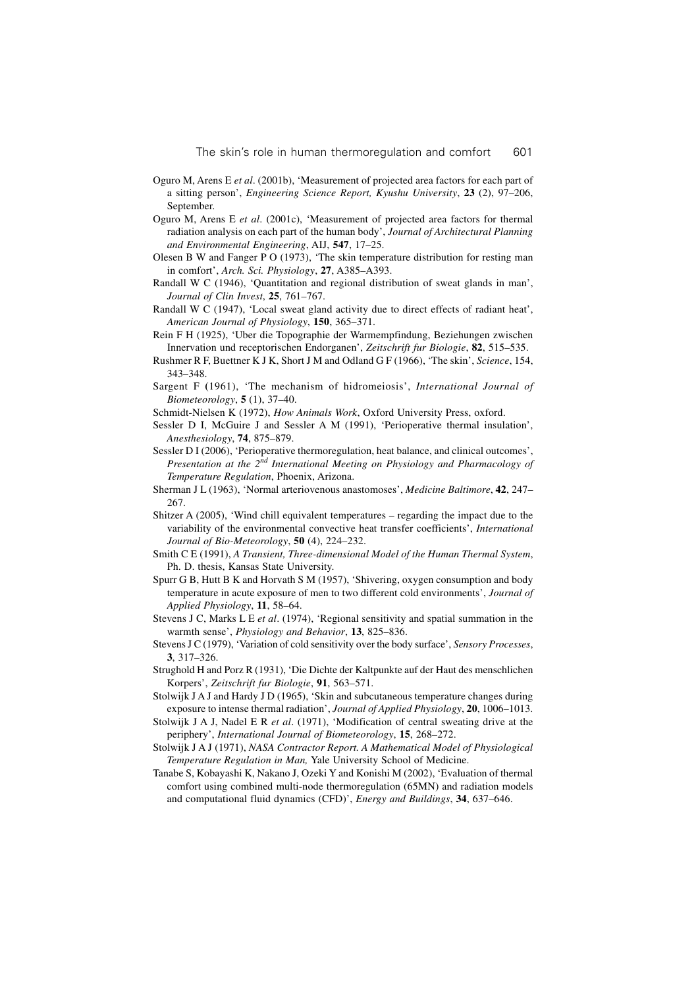- Oguro M, Arens E *et al*. (2001b), 'Measurement of projected area factors for each part of a sitting person', *Engineering Science Report, Kyushu University*, **23** (2), 97–206, September.
- Oguro M, Arens E *et al*. (2001c), 'Measurement of projected area factors for thermal radiation analysis on each part of the human body', *Journal of Architectural Planning and Environmental Engineering*, AIJ, **547**, 17–25.
- Olesen B W and Fanger P O (1973), 'The skin temperature distribution for resting man in comfort', *Arch. Sci. Physiology*, **27**, A385–A393.
- Randall W C (1946), 'Quantitation and regional distribution of sweat glands in man', *Journal of Clin Invest*, **25**, 761–767.
- Randall W C (1947), 'Local sweat gland activity due to direct effects of radiant heat', *American Journal of Physiology*, **150**, 365–371.
- Rein F H (1925), 'Uber die Topographie der Warmempfindung, Beziehungen zwischen Innervation und receptorischen Endorganen', *Zeitschrift fur Biologie*, **82**, 515–535.
- Rushmer R F, Buettner K J K, Short J M and Odland G F (1966), 'The skin', *Science*, 154, 343–348.
- Sargent F **(**1961), 'The mechanism of hidromeiosis', *International Journal of Biometeorology*, **5** (1), 37–40.
- Schmidt-Nielsen K (1972), *How Animals Work*, Oxford University Press, oxford.
- Sessler D I, McGuire J and Sessler A M (1991), 'Perioperative thermal insulation', *Anesthesiology*, **74**, 875–879.
- Sessler D I (2006), 'Perioperative thermoregulation, heat balance, and clinical outcomes', *Presentation at the 2nd International Meeting on Physiology and Pharmacology of Temperature Regulation*, Phoenix, Arizona.
- Sherman J L (1963), 'Normal arteriovenous anastomoses', *Medicine Baltimore*, **42**, 247– 267.
- Shitzer A (2005), 'Wind chill equivalent temperatures regarding the impact due to the variability of the environmental convective heat transfer coefficients', *International Journal of Bio-Meteorology*, **50** (4), 224–232.
- Smith C E (1991), *A Transient, Three-dimensional Model of the Human Thermal System*, Ph. D. thesis, Kansas State University.
- Spurr G B, Hutt B K and Horvath S M (1957), 'Shivering, oxygen consumption and body temperature in acute exposure of men to two different cold environments', *Journal of Applied Physiology*, **11**, 58–64.
- Stevens J C, Marks L E *et al*. (1974), 'Regional sensitivity and spatial summation in the warmth sense', *Physiology and Behavior*, **13**, 825–836.
- Stevens J C (1979), 'Variation of cold sensitivity over the body surface', *Sensory Processes*, **3**, 317–326.
- Strughold H and Porz R (1931), 'Die Dichte der Kaltpunkte auf der Haut des menschlichen Korpers', *Zeitschrift fur Biologie*, **91**, 563–571.
- Stolwijk J A J and Hardy J D (1965), 'Skin and subcutaneous temperature changes during exposure to intense thermal radiation', *Journal of Applied Physiology*, **20**, 1006–1013.
- Stolwijk J A J, Nadel E R *et al*. (1971), 'Modification of central sweating drive at the periphery', *International Journal of Biometeorology*, **15**, 268–272.
- Stolwijk J A J (1971), *NASA Contractor Report. A Mathematical Model of Physiological Temperature Regulation in Man,* Yale University School of Medicine.
- Tanabe S, Kobayashi K, Nakano J, Ozeki Y and Konishi M (2002), 'Evaluation of thermal comfort using combined multi-node thermoregulation (65MN) and radiation models and computational fluid dynamics (CFD)', *Energy and Buildings*, **34**, 637–646.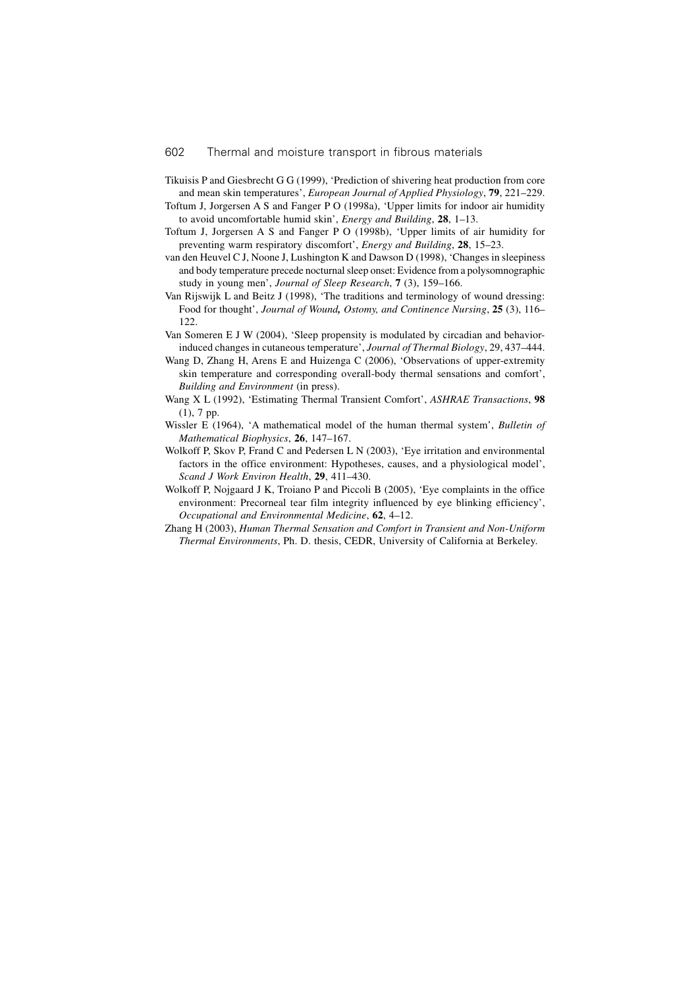- Tikuisis P and Giesbrecht G G (1999), 'Prediction of shivering heat production from core and mean skin temperatures', *European Journal of Applied Physiology*, **79**, 221–229.
- Toftum J, Jorgersen A S and Fanger P O (1998a), 'Upper limits for indoor air humidity to avoid uncomfortable humid skin', *Energy and Building*, **28**, 1–13.
- Toftum J, Jorgersen A S and Fanger P O (1998b), 'Upper limits of air humidity for preventing warm respiratory discomfort', *Energy and Building*, **28**, 15–23.
- van den Heuvel C J, Noone J, Lushington K and Dawson D (1998), 'Changes in sleepiness and body temperature precede nocturnal sleep onset: Evidence from a polysomnographic study in young men', *Journal of Sleep Research*, **7** (3), 159–166.
- Van Rijswijk L and Beitz J (1998), 'The traditions and terminology of wound dressing: Food for thought', *Journal of Wound, Ostomy, and Continence Nursing*, **25** (3), 116– 122.
- Van Someren E J W (2004), 'Sleep propensity is modulated by circadian and behaviorinduced changes in cutaneous temperature', *Journal of Thermal Biology*, 29, 437–444.
- Wang D, Zhang H, Arens E and Huizenga C (2006), 'Observations of upper-extremity skin temperature and corresponding overall-body thermal sensations and comfort', *Building and Environment* (in press).
- Wang X L (1992), 'Estimating Thermal Transient Comfort', *ASHRAE Transactions*, **98** (1), 7 pp.
- Wissler E (1964), 'A mathematical model of the human thermal system', *Bulletin of Mathematical Biophysics*, **26**, 147–167.
- Wolkoff P, Skov P, Frand C and Pedersen L N (2003), 'Eye irritation and environmental factors in the office environment: Hypotheses, causes, and a physiological model', *Scand J Work Environ Health*, **29**, 411–430.
- Wolkoff P, Nojgaard J K, Troiano P and Piccoli B (2005), 'Eye complaints in the office environment: Precorneal tear film integrity influenced by eye blinking efficiency', *Occupational and Environmental Medicine*, **62**, 4–12.
- Zhang H (2003), *Human Thermal Sensation and Comfort in Transient and Non-Uniform Thermal Environments*, Ph. D. thesis, CEDR, University of California at Berkeley.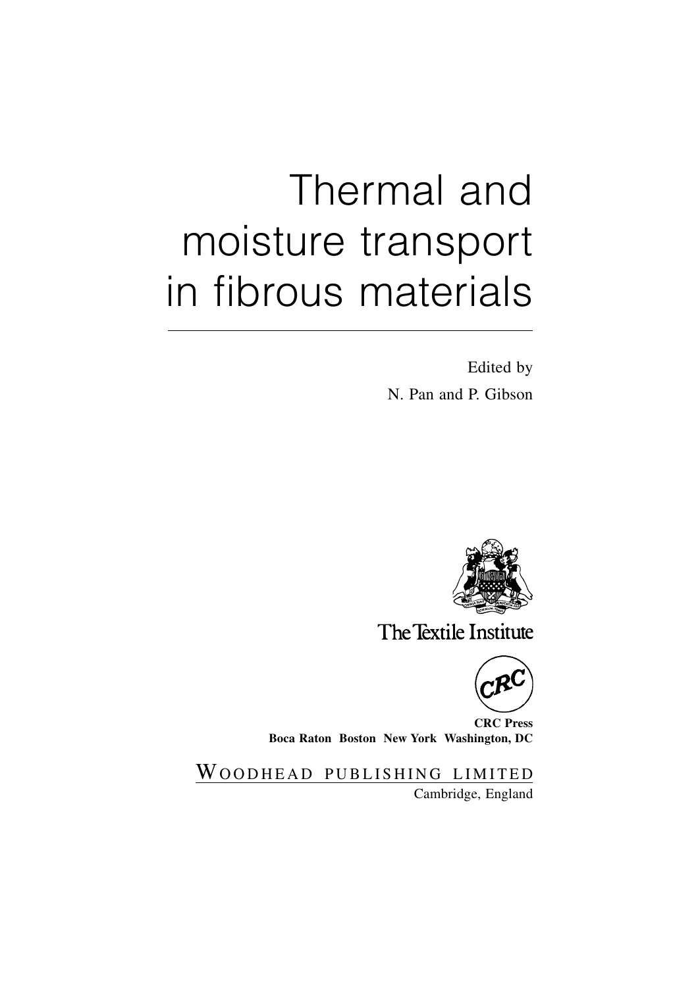# Thermal and moisture transport in fibrous materials

Edited by N. Pan and P. Gibson

![](_page_44_Picture_2.jpeg)

The Textile Institute

**CRC Press Boca Raton Boston New York Washington, DC**

WOODHEAD PUBLISHING LIMITED Cambridge, England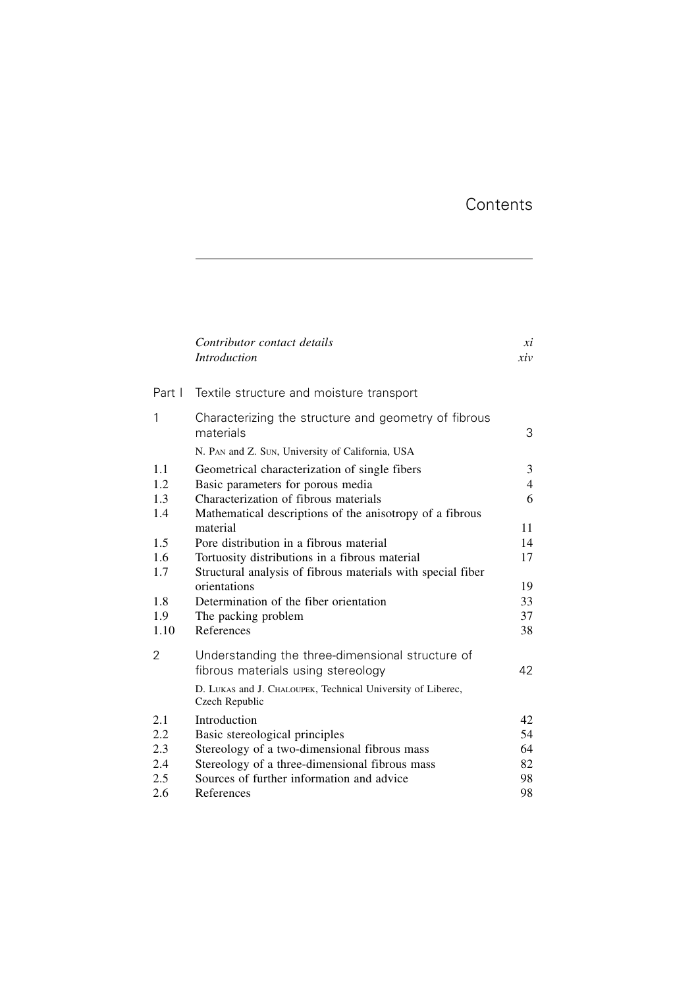|              | Contributor contact details<br><b>Introduction</b>                                     | хi<br>xiv      |
|--------------|----------------------------------------------------------------------------------------|----------------|
| Part I       | Textile structure and moisture transport                                               |                |
| $\mathbf{1}$ | Characterizing the structure and geometry of fibrous<br>materials                      | 3              |
|              | N. PAN and Z. SUN, University of California, USA                                       |                |
| 1.1          | Geometrical characterization of single fibers                                          | 3              |
| 1.2          | Basic parameters for porous media                                                      | $\overline{4}$ |
| 1.3          | Characterization of fibrous materials                                                  | 6              |
| 1.4          | Mathematical descriptions of the anisotropy of a fibrous<br>material                   | 11             |
| 1.5          | Pore distribution in a fibrous material                                                | 14             |
| 1.6          | Tortuosity distributions in a fibrous material                                         | 17             |
| 1.7          | Structural analysis of fibrous materials with special fiber                            |                |
|              | orientations                                                                           | 19             |
| 1.8          | Determination of the fiber orientation                                                 | 33             |
| 1.9          | The packing problem                                                                    | 37             |
| 1.10         | References                                                                             | 38             |
| 2            | Understanding the three-dimensional structure of<br>fibrous materials using stereology | 42             |
|              | D. LUKAS and J. CHALOUPEK, Technical University of Liberec,<br>Czech Republic          |                |
| 2.1          | Introduction                                                                           | 42             |
| 2.2          | Basic stereological principles                                                         | 54             |
| 2.3          | Stereology of a two-dimensional fibrous mass                                           | 64             |
| 2.4          | Stereology of a three-dimensional fibrous mass                                         | 82             |
| 2.5          | Sources of further information and advice                                              | 98             |
| 2.6          | References                                                                             | 98             |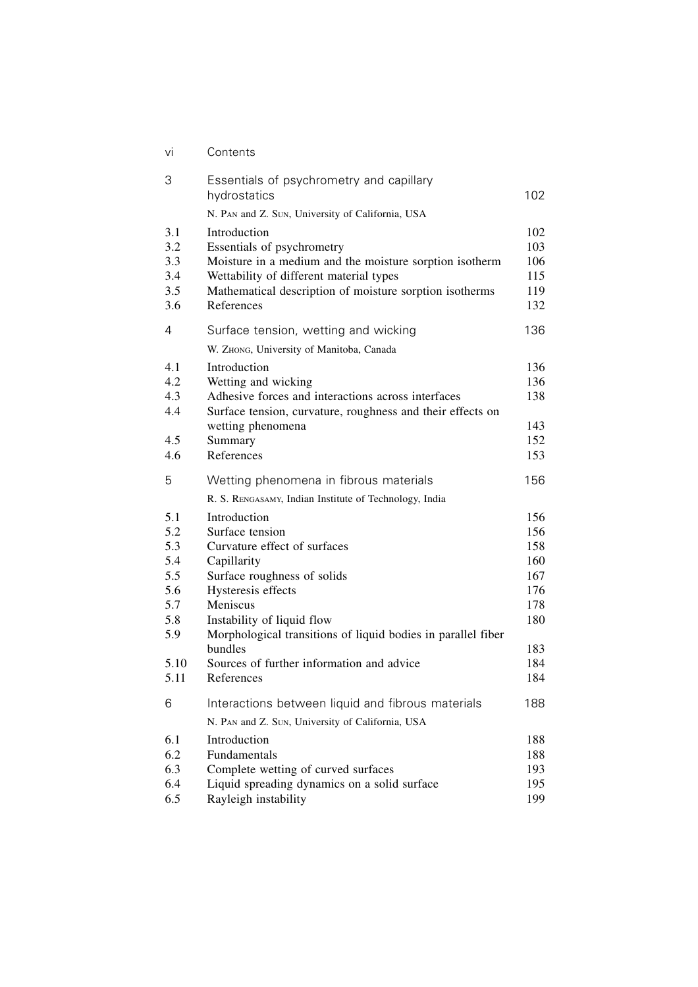vi Contents

| 3          | Essentials of psychrometry and capillary<br>hydrostatics                | 102        |
|------------|-------------------------------------------------------------------------|------------|
|            | N. PAN and Z. SUN, University of California, USA                        |            |
| 3.1        | Introduction                                                            | 102        |
| 3.2        | Essentials of psychrometry                                              | 103        |
| 3.3        | Moisture in a medium and the moisture sorption isotherm                 | 106        |
| 3.4        | Wettability of different material types                                 | 115        |
| 3.5        | Mathematical description of moisture sorption isotherms                 | 119        |
| 3.6        | References                                                              | 132        |
| 4          | Surface tension, wetting and wicking                                    | 136        |
|            | W. ZHONG, University of Manitoba, Canada                                |            |
| 4.1        | Introduction                                                            | 136        |
| 4.2        | Wetting and wicking                                                     | 136        |
| 4.3        | Adhesive forces and interactions across interfaces                      | 138        |
| 4.4        | Surface tension, curvature, roughness and their effects on              |            |
|            | wetting phenomena                                                       | 143        |
| 4.5        | Summary                                                                 | 152        |
| 4.6        | References                                                              | 153        |
| 5          | Wetting phenomena in fibrous materials                                  | 156        |
|            | R. S. RENGASAMY, Indian Institute of Technology, India                  |            |
| 5.1        | Introduction                                                            | 156        |
| 5.2        | Surface tension                                                         | 156        |
| 5.3        | Curvature effect of surfaces                                            | 158        |
| 5.4        | Capillarity                                                             | 160        |
| 5.5        | Surface roughness of solids                                             | 167        |
| 5.6        | Hysteresis effects                                                      | 176        |
| 5.7        | Meniscus                                                                | 178        |
| 5.8        | Instability of liquid flow                                              | 180        |
| 5.9        | Morphological transitions of liquid bodies in parallel fiber<br>bundles | 183        |
| 5.10       | Sources of further information and advice                               | 184        |
| 5.11       | References                                                              | 184        |
|            |                                                                         |            |
| 6          | Interactions between liquid and fibrous materials                       | 188        |
|            | N. PAN and Z. SUN, University of California, USA                        |            |
| 6.1        | Introduction                                                            | 188        |
| 6.2        | Fundamentals                                                            | 188        |
| 6.3<br>6.4 | Complete wetting of curved surfaces                                     | 193        |
| 6.5        | Liquid spreading dynamics on a solid surface<br>Rayleigh instability    | 195<br>199 |
|            |                                                                         |            |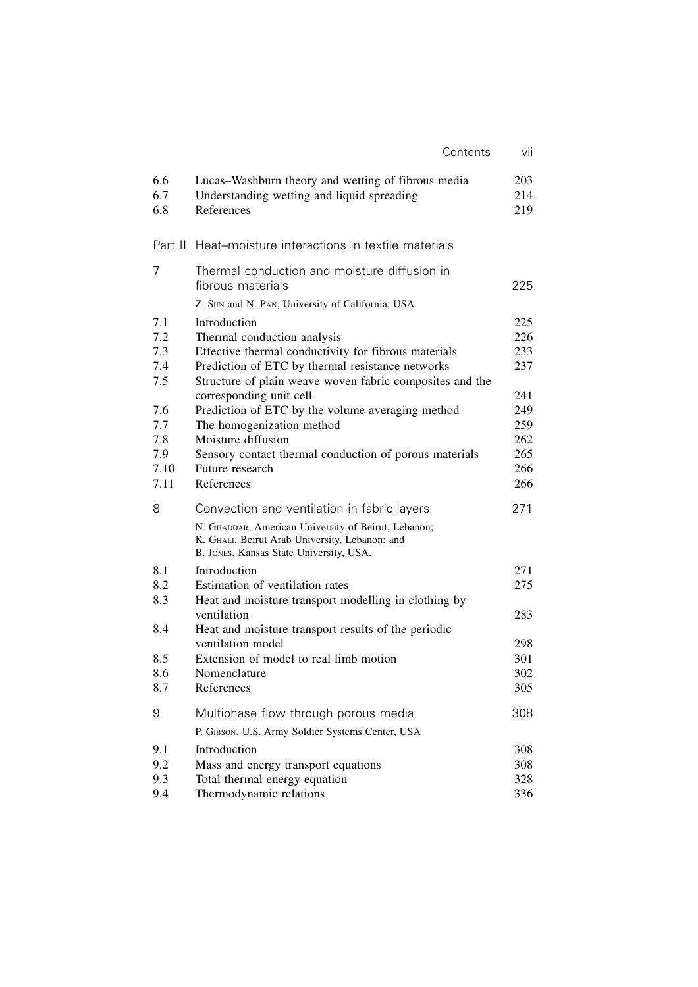| 6.6<br>6.7<br>6.8 | Lucas–Washburn theory and wetting of fibrous media<br>Understanding wetting and liquid spreading<br>References                                   | 203<br>214<br>219 |
|-------------------|--------------------------------------------------------------------------------------------------------------------------------------------------|-------------------|
|                   | Part II Heat-moisture interactions in textile materials                                                                                          |                   |
| 7                 | Thermal conduction and moisture diffusion in<br>fibrous materials                                                                                | 225               |
|                   | Z. Sun and N. PAN, University of California, USA                                                                                                 |                   |
| 7.1<br>7.2<br>7.3 | Introduction<br>Thermal conduction analysis<br>Effective thermal conductivity for fibrous materials                                              | 225<br>226<br>233 |
| 7.4<br>7.5        | Prediction of ETC by thermal resistance networks<br>Structure of plain weave woven fabric composites and the                                     | 237               |
| 7.6               | corresponding unit cell<br>Prediction of ETC by the volume averaging method                                                                      | 241<br>249        |
| 7.7<br>7.8        | The homogenization method<br>Moisture diffusion                                                                                                  | 259<br>262        |
| 7.9<br>7.10       | Sensory contact thermal conduction of porous materials<br>Future research                                                                        | 265<br>266        |
| 7.11              | References                                                                                                                                       | 266               |
| 8                 | Convection and ventilation in fabric layers                                                                                                      | 271               |
|                   | N. GHADDAR, American University of Beirut, Lebanon;<br>K. GHALI, Beirut Arab University, Lebanon; and<br>B. JONES, Kansas State University, USA. |                   |
| 8.1               | Introduction                                                                                                                                     | 271               |
| 8.2               | Estimation of ventilation rates                                                                                                                  | 275               |
| 8.3<br>8.4        | Heat and moisture transport modelling in clothing by<br>ventilation<br>Heat and moisture transport results of the periodic                       | 283               |
|                   | ventilation model                                                                                                                                | 298               |
| 8.5               | Extension of model to real limb motion                                                                                                           | 301               |
| 8.6               | Nomenclature                                                                                                                                     | 302               |
| 8.7               | References                                                                                                                                       | 305               |
| 9                 | Multiphase flow through porous media                                                                                                             | 308               |
|                   | P. GIBSON, U.S. Army Soldier Systems Center, USA                                                                                                 |                   |
| 9.1               | Introduction                                                                                                                                     | 308               |
| 9.2               | Mass and energy transport equations                                                                                                              | 308               |
| 9.3<br>9.4        | Total thermal energy equation<br>Thermodynamic relations                                                                                         | 328<br>336        |
|                   |                                                                                                                                                  |                   |

Contents vii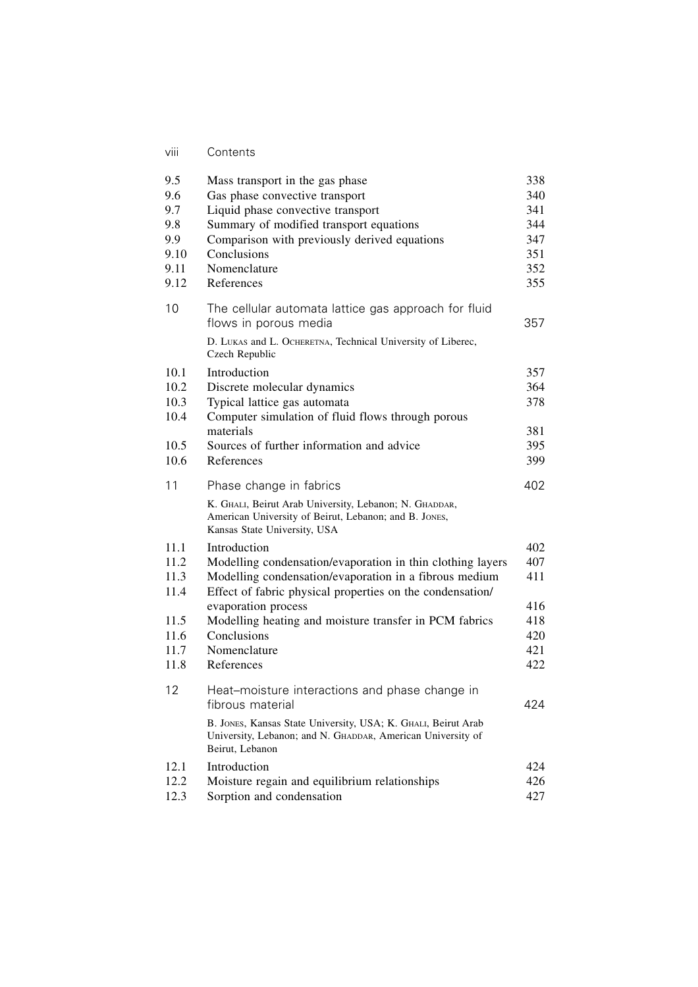viii Contents

| 9.5  | Mass transport in the gas phase                                                                                                                 | 338 |
|------|-------------------------------------------------------------------------------------------------------------------------------------------------|-----|
| 9.6  | Gas phase convective transport                                                                                                                  | 340 |
| 9.7  | Liquid phase convective transport                                                                                                               | 341 |
| 9.8  | Summary of modified transport equations                                                                                                         | 344 |
| 9.9  | Comparison with previously derived equations                                                                                                    | 347 |
| 9.10 | Conclusions                                                                                                                                     | 351 |
| 9.11 | Nomenclature                                                                                                                                    | 352 |
| 9.12 | References                                                                                                                                      | 355 |
| 10   | The cellular automata lattice gas approach for fluid<br>flows in porous media                                                                   | 357 |
|      | D. LUKAS and L. OCHERETNA, Technical University of Liberec,<br>Czech Republic                                                                   |     |
| 10.1 | Introduction                                                                                                                                    | 357 |
| 10.2 | Discrete molecular dynamics                                                                                                                     | 364 |
| 10.3 | Typical lattice gas automata                                                                                                                    | 378 |
| 10.4 | Computer simulation of fluid flows through porous                                                                                               |     |
|      | materials                                                                                                                                       | 381 |
| 10.5 | Sources of further information and advice                                                                                                       | 395 |
| 10.6 | References                                                                                                                                      | 399 |
| 11   | Phase change in fabrics                                                                                                                         | 402 |
|      | K. GHALI, Beirut Arab University, Lebanon; N. GHADDAR,<br>American University of Beirut, Lebanon; and B. JONES,<br>Kansas State University, USA |     |
| 11.1 | Introduction                                                                                                                                    | 402 |
| 11.2 | Modelling condensation/evaporation in thin clothing layers                                                                                      | 407 |
| 11.3 | Modelling condensation/evaporation in a fibrous medium                                                                                          | 411 |
| 11.4 | Effect of fabric physical properties on the condensation/                                                                                       |     |
|      | evaporation process                                                                                                                             | 416 |
| 11.5 | Modelling heating and moisture transfer in PCM fabrics                                                                                          | 418 |
| 11.6 | Conclusions                                                                                                                                     | 420 |
| 11.7 | Nomenclature                                                                                                                                    | 421 |
| 11.8 | References                                                                                                                                      | 422 |
| 12   | Heat-moisture interactions and phase change in<br>fibrous material                                                                              | 424 |
|      | B. JONES, Kansas State University, USA; K. GHALI, Beirut Arab<br>University, Lebanon; and N. GHADDAR, American University of<br>Beirut, Lebanon |     |
| 12.1 | Introduction                                                                                                                                    | 424 |
| 12.2 | Moisture regain and equilibrium relationships                                                                                                   | 426 |
| 12.3 | Sorption and condensation                                                                                                                       | 427 |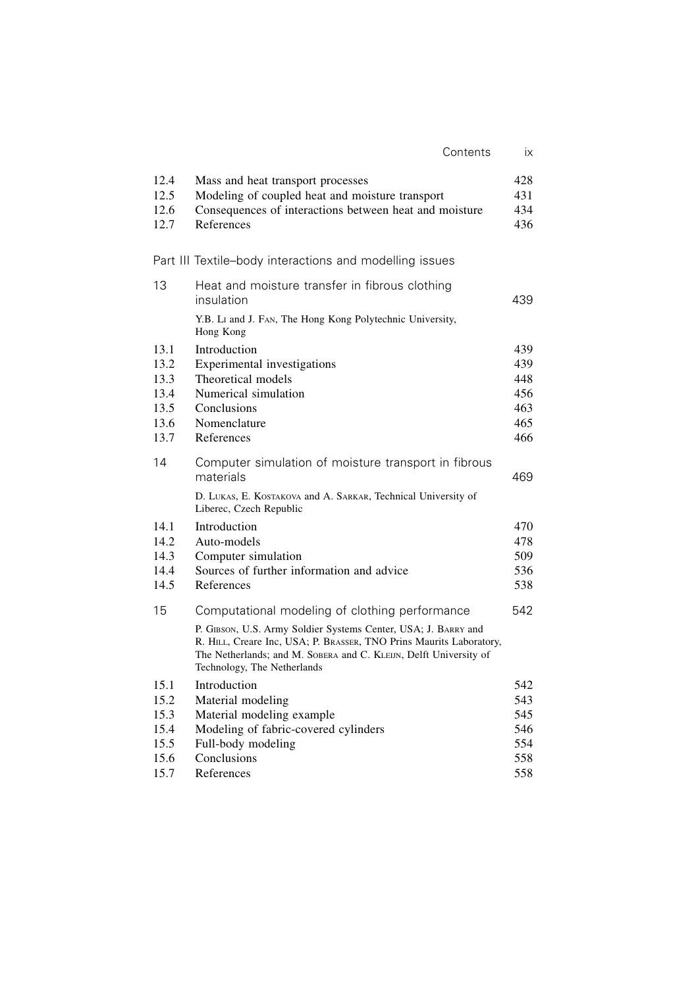| 12.4<br>12.5<br>12.6<br>12.7 | Mass and heat transport processes<br>Modeling of coupled heat and moisture transport<br>Consequences of interactions between heat and moisture<br>References                                                                              | 428<br>431<br>434<br>436 |
|------------------------------|-------------------------------------------------------------------------------------------------------------------------------------------------------------------------------------------------------------------------------------------|--------------------------|
|                              | Part III Textile-body interactions and modelling issues                                                                                                                                                                                   |                          |
| 13                           | Heat and moisture transfer in fibrous clothing<br>insulation                                                                                                                                                                              | 439                      |
|                              | Y.B. LI and J. FAN, The Hong Kong Polytechnic University,<br>Hong Kong                                                                                                                                                                    |                          |
| 13.1                         | Introduction                                                                                                                                                                                                                              | 439                      |
| 13.2                         | Experimental investigations                                                                                                                                                                                                               | 439                      |
| 13.3                         | Theoretical models                                                                                                                                                                                                                        | 448                      |
| 13.4                         | Numerical simulation                                                                                                                                                                                                                      | 456                      |
| 13.5                         | Conclusions                                                                                                                                                                                                                               | 463                      |
| 13.6                         | Nomenclature                                                                                                                                                                                                                              | 465                      |
| 13.7                         | References                                                                                                                                                                                                                                | 466                      |
| 14                           | Computer simulation of moisture transport in fibrous                                                                                                                                                                                      |                          |
|                              | materials                                                                                                                                                                                                                                 | 469                      |
|                              | D. LUKAS, E. KOSTAKOVA and A. SARKAR, Technical University of<br>Liberec, Czech Republic                                                                                                                                                  |                          |
| 14.1                         | Introduction                                                                                                                                                                                                                              | 470                      |
| 14.2                         | Auto-models                                                                                                                                                                                                                               | 478                      |
| 14.3                         | Computer simulation                                                                                                                                                                                                                       | 509                      |
| 14.4                         | Sources of further information and advice                                                                                                                                                                                                 | 536                      |
| 14.5                         | References                                                                                                                                                                                                                                | 538                      |
| 15                           | Computational modeling of clothing performance                                                                                                                                                                                            | 542                      |
|                              | P. GIBSON, U.S. Army Soldier Systems Center, USA; J. BARRY and<br>R. HILL, Creare Inc, USA; P. BRASSER, TNO Prins Maurits Laboratory,<br>The Netherlands; and M. SOBERA and C. KLEIJN, Delft University of<br>Technology, The Netherlands |                          |
| 15.1                         | Introduction                                                                                                                                                                                                                              | 542                      |
| 15.2                         | Material modeling                                                                                                                                                                                                                         | 543                      |
| 15.3                         | Material modeling example                                                                                                                                                                                                                 | 545                      |
| 15.4                         | Modeling of fabric-covered cylinders                                                                                                                                                                                                      | 546                      |
| 15.5                         | Full-body modeling                                                                                                                                                                                                                        | 554                      |
| 15.6                         | Conclusions                                                                                                                                                                                                                               | 558                      |
| 15.7                         | References                                                                                                                                                                                                                                | 558                      |